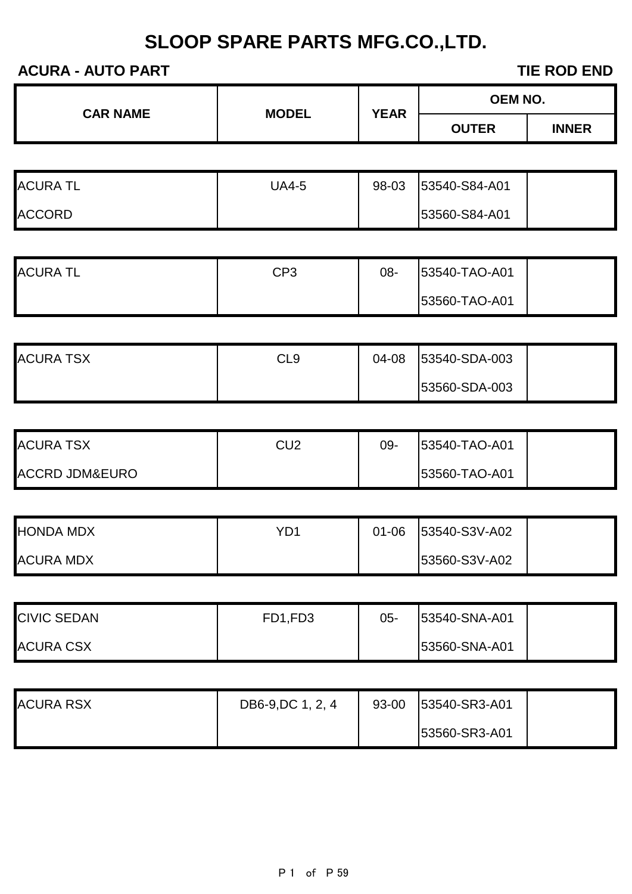#### **ACURA - AUTO PART TIE ROD END**

|              | <b>OEM NO.</b> |             | <b>MODEL</b>      |                           |
|--------------|----------------|-------------|-------------------|---------------------------|
| <b>INNER</b> | <b>OUTER</b>   | <b>YEAR</b> |                   | <b>CAR NAME</b>           |
|              |                |             |                   |                           |
|              | 53540-S84-A01  | 98-03       | <b>UA4-5</b>      | <b>ACURA TL</b>           |
|              | 53560-S84-A01  |             |                   | <b>ACCORD</b>             |
|              |                |             |                   |                           |
|              | 53540-TAO-A01  | 08-         | CP <sub>3</sub>   | <b>ACURA TL</b>           |
|              | 53560-TAO-A01  |             |                   |                           |
|              |                |             |                   |                           |
|              | 53540-SDA-003  | 04-08       | CL <sub>9</sub>   | <b>ACURA TSX</b>          |
|              | 53560-SDA-003  |             |                   |                           |
|              |                |             |                   |                           |
|              | 53540-TAO-A01  | 09-         | CU <sub>2</sub>   | <b>ACURA TSX</b>          |
|              | 53560-TAO-A01  |             |                   | <b>ACCRD JDM&amp;EURO</b> |
|              |                |             |                   |                           |
|              | 53540-S3V-A02  | $01 - 06$   | YD <sub>1</sub>   | <b>HONDA MDX</b>          |
|              | 53560-S3V-A02  |             |                   | <b>ACURA MDX</b>          |
|              |                |             |                   |                           |
|              | 53540-SNA-A01  | $05-$       | FD1,FD3           | <b>CIVIC SEDAN</b>        |
|              | 53560-SNA-A01  |             |                   | <b>ACURA CSX</b>          |
|              |                |             |                   |                           |
|              | 53560-SR3-A01  |             |                   |                           |
|              | 53540-SR3-A01  | 93-00       | DB6-9, DC 1, 2, 4 | <b>ACURA RSX</b>          |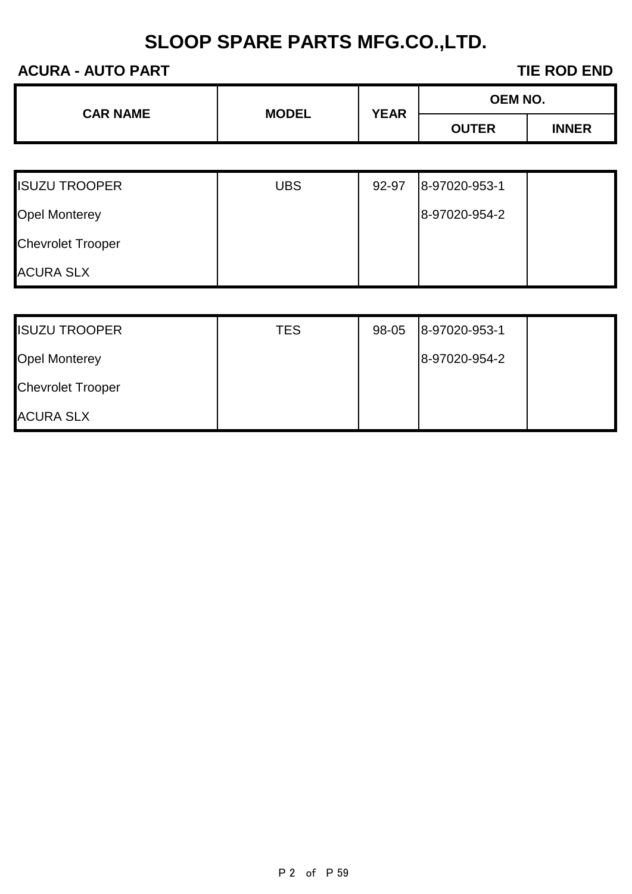#### **ACURA - AUTO PART TIE ROD END**

| <b>CAR NAME</b>                        |              |             | <b>OEM NO.</b> |              |  |
|----------------------------------------|--------------|-------------|----------------|--------------|--|
|                                        | <b>MODEL</b> | <b>YEAR</b> | <b>OUTER</b>   | <b>INNER</b> |  |
|                                        |              |             |                |              |  |
| <b>ISUZU TROOPER</b>                   | <b>UBS</b>   | 92-97       | 8-97020-953-1  |              |  |
| <b>Opel Monterey</b>                   |              |             | 8-97020-954-2  |              |  |
| <b>Chevrolet Trooper</b>               |              |             |                |              |  |
| <b>ACURA SLX</b>                       |              |             |                |              |  |
|                                        |              |             |                |              |  |
| <b>ISUZU TROOPER</b>                   | <b>TES</b>   | 98-05       | 8-97020-953-1  |              |  |
| <b>Opel Monterey</b>                   |              |             | 8-97020-954-2  |              |  |
| $\bigcap$ become leaf $\top$ and a set |              |             |                |              |  |

| $\blacksquare$           |  | $100 - 100 = 001$ |  |
|--------------------------|--|-------------------|--|
| <b>Chevrolet Trooper</b> |  |                   |  |
| <b>ACURA SLX</b>         |  |                   |  |
|                          |  |                   |  |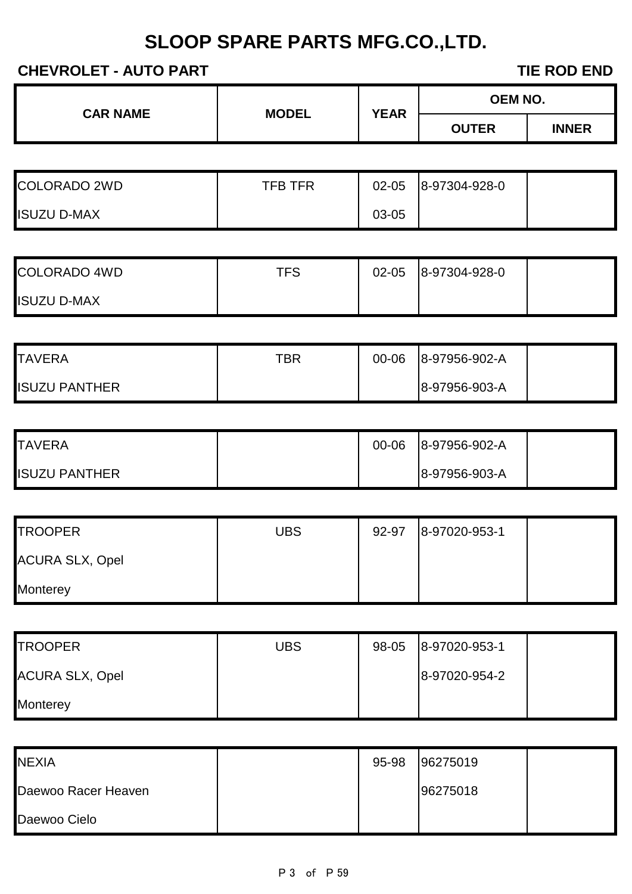### **CHEVROLET - AUTO PART TIE ROD END**

| <b>CAR NAME</b> | <b>MODEL</b> | <b>YEAR</b> | OEM NO.      |              |  |
|-----------------|--------------|-------------|--------------|--------------|--|
|                 |              |             | <b>OUTER</b> | <b>INNER</b> |  |
|                 |              |             |              |              |  |

| COLORADO 2WD       | TFB TFR | $02 - 05$ | 8-97304-928-0 |  |
|--------------------|---------|-----------|---------------|--|
| <b>ISUZU D-MAX</b> |         | 03-05     |               |  |

| <b>COLORADO 4WD</b> | TFS | $02 - 05$ | 8-97304-928-0 |  |
|---------------------|-----|-----------|---------------|--|
| <b>ISUZU D-MAX</b>  |     |           |               |  |

| <b>TAVERA</b>        | TBR | $00 - 06$ | 8-97956-902-A |  |
|----------------------|-----|-----------|---------------|--|
| <b>ISUZU PANTHER</b> |     |           | 8-97956-903-A |  |

| <b>TAVERA</b>        | 00-06 | 8-97956-902-A |  |
|----------------------|-------|---------------|--|
| <b>ISUZU PANTHER</b> |       | 8-97956-903-A |  |

| <b>TROOPER</b>         | <b>UBS</b> | 92-97 | 8-97020-953-1 |  |
|------------------------|------------|-------|---------------|--|
| <b>ACURA SLX, Opel</b> |            |       |               |  |
| <b>Monterey</b>        |            |       |               |  |

| <b>TROOPER</b>         | <b>UBS</b> | 98-05 | 8-97020-953-1 |  |
|------------------------|------------|-------|---------------|--|
| <b>ACURA SLX, Opel</b> |            |       | 8-97020-954-2 |  |
| <b>Monterey</b>        |            |       |               |  |

| <b>NEXIA</b>        | 95-98 | 96275019 |  |
|---------------------|-------|----------|--|
| Daewoo Racer Heaven |       | 96275018 |  |
| Daewoo Cielo        |       |          |  |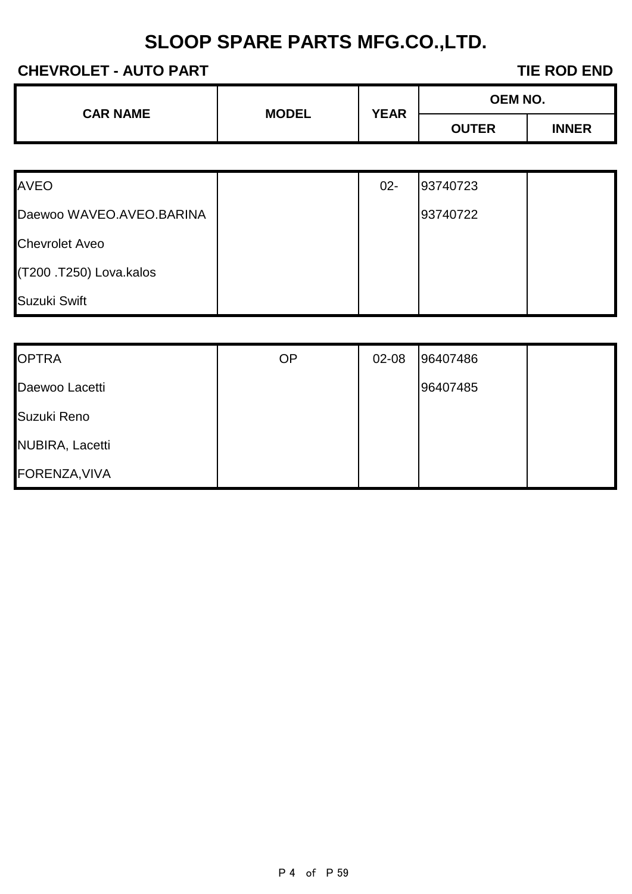### **CHEVROLET - AUTO PART TIE ROD END**

|  |  | <b>TIE ROD END</b> |  |
|--|--|--------------------|--|
|  |  |                    |  |

| <b>CAR NAME</b> | <b>MODEL</b> | <b>YEAR</b> | <b>OEM NO.</b>               |  |
|-----------------|--------------|-------------|------------------------------|--|
|                 |              |             | <b>INNER</b><br><b>OUTER</b> |  |

| <b>AVEO</b>              | $02 -$ | 93740723 |  |
|--------------------------|--------|----------|--|
| Daewoo WAVEO.AVEO.BARINA |        | 93740722 |  |
| <b>Chevrolet Aveo</b>    |        |          |  |
| (T200 .T250) Lova.kalos  |        |          |  |
| Suzuki Swift             |        |          |  |

| <b>OPTRA</b>    | <b>OP</b> | 02-08 | 96407486 |  |
|-----------------|-----------|-------|----------|--|
| Daewoo Lacetti  |           |       | 96407485 |  |
| Suzuki Reno     |           |       |          |  |
| NUBIRA, Lacetti |           |       |          |  |
| FORENZA, VIVA   |           |       |          |  |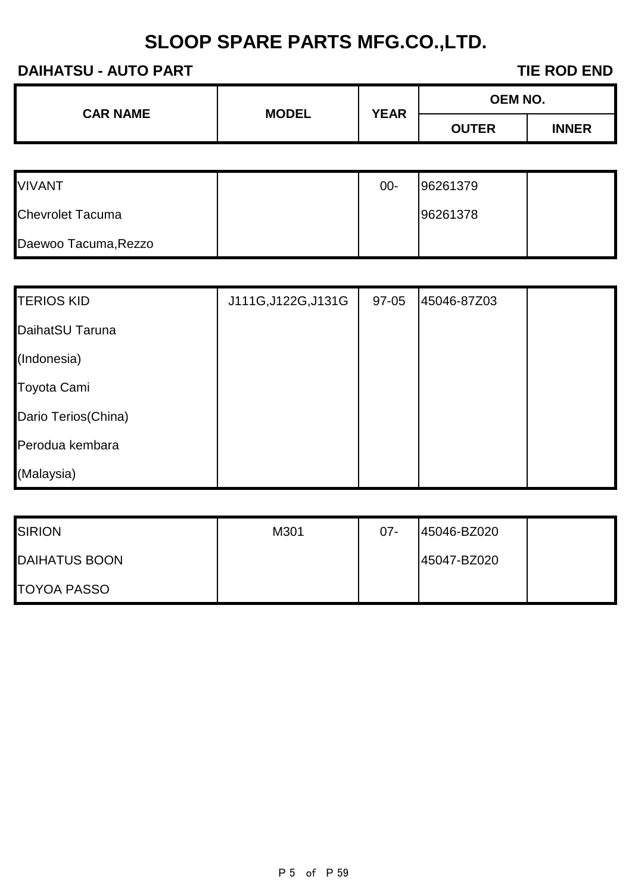#### **DAIHATSU - AUTO PART TIE ROD END**

| <b>CAR NAME</b> | <b>MODEL</b> | <b>YEAR</b> | <b>OEM NO.</b> |              |
|-----------------|--------------|-------------|----------------|--------------|
|                 |              |             | <b>OUTER</b>   | <b>INNER</b> |

| <b>VIVANT</b>           | $00 -$ | 96261379 |  |
|-------------------------|--------|----------|--|
| <b>Chevrolet Tacuma</b> |        | 96261378 |  |
| Daewoo Tacuma, Rezzo    |        |          |  |

| <b>TERIOS KID</b>   | J111G, J122G, J131G | $97 - 05$ | 45046-87Z03 |  |
|---------------------|---------------------|-----------|-------------|--|
| DaihatSU Taruna     |                     |           |             |  |
| (Indonesia)         |                     |           |             |  |
| Toyota Cami         |                     |           |             |  |
| Dario Terios(China) |                     |           |             |  |
| Perodua kembara     |                     |           |             |  |
| (Malaysia)          |                     |           |             |  |

| <b>SIRION</b>        | M301 | $07 -$ | 45046-BZ020 |  |
|----------------------|------|--------|-------------|--|
| <b>DAIHATUS BOON</b> |      |        | 45047-BZ020 |  |
| <b>TOYOA PASSO</b>   |      |        |             |  |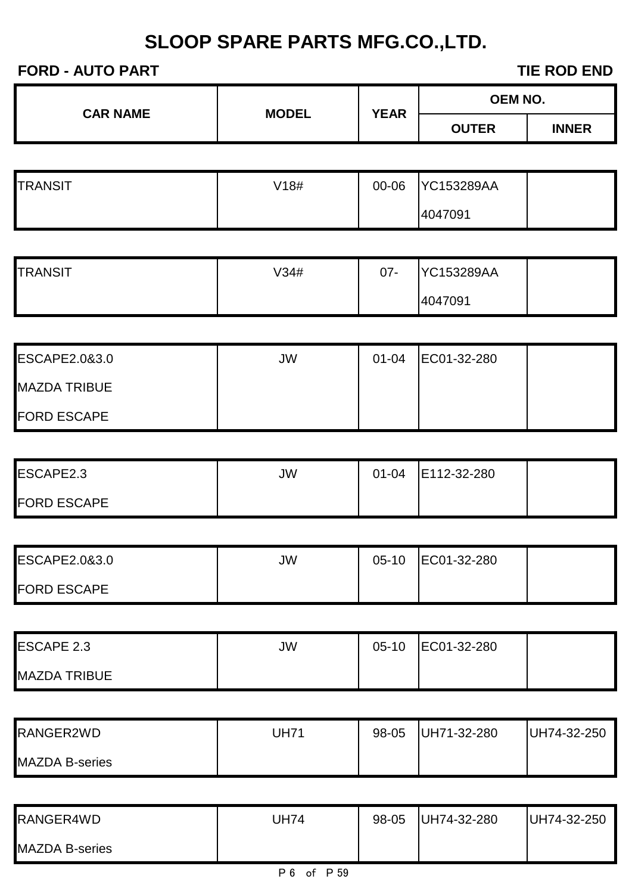#### **FORD - AUTO PART TIE ROD END**

**OEM NO.**

| <b>CAR NAME</b>       |              |             | ,,,,,,,,,,   |              |
|-----------------------|--------------|-------------|--------------|--------------|
|                       | <b>MODEL</b> | <b>YEAR</b> | <b>OUTER</b> | <b>INNER</b> |
|                       |              |             |              |              |
| <b>TRANSIT</b>        | V18#         | 00-06       | YC153289AA   |              |
|                       |              |             | 4047091      |              |
|                       |              |             |              |              |
| <b>TRANSIT</b>        | V34#         | $07 -$      | YC153289AA   |              |
|                       |              |             | 4047091      |              |
|                       |              |             |              |              |
| ESCAPE2.0&3.0         | <b>JW</b>    | $01 - 04$   | EC01-32-280  |              |
| <b>MAZDA TRIBUE</b>   |              |             |              |              |
| <b>FORD ESCAPE</b>    |              |             |              |              |
|                       |              |             |              |              |
| ESCAPE2.3             | <b>JW</b>    | $01 - 04$   | E112-32-280  |              |
| <b>FORD ESCAPE</b>    |              |             |              |              |
|                       |              |             |              |              |
| ESCAPE2.0&3.0         | <b>JW</b>    | $05-10$     | EC01-32-280  |              |
| <b>FORD ESCAPE</b>    |              |             |              |              |
|                       |              |             |              |              |
| <b>ESCAPE 2.3</b>     | <b>JW</b>    | $05-10$     | EC01-32-280  |              |
| <b>MAZDA TRIBUE</b>   |              |             |              |              |
|                       |              |             |              |              |
| RANGER2WD             | <b>UH71</b>  | 98-05       | UH71-32-280  | UH74-32-250  |
| <b>MAZDA B-series</b> |              |             |              |              |
|                       |              |             |              |              |
| RANGER4WD             | <b>UH74</b>  | 98-05       | UH74-32-280  | UH74-32-250  |
| <b>MAZDA B-series</b> |              |             |              |              |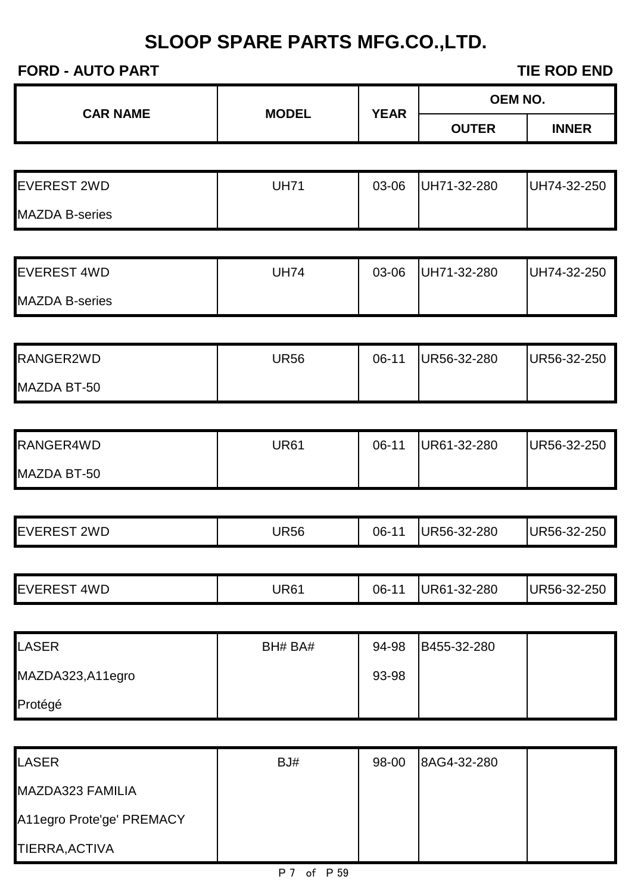#### **FORD - AUTO PART TIE ROD END**

| <b>CAR NAME</b>       |              |             |              | <b>OEM NO.</b> |
|-----------------------|--------------|-------------|--------------|----------------|
|                       | <b>MODEL</b> | <b>YEAR</b> | <b>OUTER</b> | <b>INNER</b>   |
|                       |              |             |              |                |
| <b>EVEREST 2WD</b>    | <b>UH71</b>  | 03-06       | UH71-32-280  | UH74-32-250    |
| <b>MAZDA B-series</b> |              |             |              |                |
|                       |              |             |              |                |
| <b>EVEREST 4WD</b>    | <b>UH74</b>  | 03-06       | UH71-32-280  | UH74-32-250    |
| <b>MAZDA B-series</b> |              |             |              |                |
|                       |              |             |              |                |
| RANGER2WD             | <b>UR56</b>  | $06-11$     | UR56-32-280  | UR56-32-250    |
| MAZDA BT-50           |              |             |              |                |
|                       |              |             |              |                |
| RANGER4WD             | <b>UR61</b>  | $06-11$     | UR61-32-280  | UR56-32-250    |
| MAZDA BT-50           |              |             |              |                |
|                       |              |             |              |                |
| <b>EVEREST 2WD</b>    | <b>UR56</b>  | 06-11       | UR56-32-280  | UR56-32-250    |
|                       |              |             |              |                |
| <b>EVEREST 4WD</b>    | <b>UR61</b>  | 06-11       | UR61-32-280  | UR56-32-250    |
|                       |              |             |              |                |
| <b>LASER</b>          | BH# BA#      | 94-98       | B455-32-280  |                |
| MAZDA323,A11egro      |              | 93-98       |              |                |
| Protégé               |              |             |              |                |
|                       |              |             |              |                |
| <b>LASER</b>          | BJ#          | 98-00       | 8AG4-32-280  |                |
| MAZDA323 FAMILIA      |              |             |              |                |

A11egro Prote'ge' PREMACY

TIERRA,ACTIVA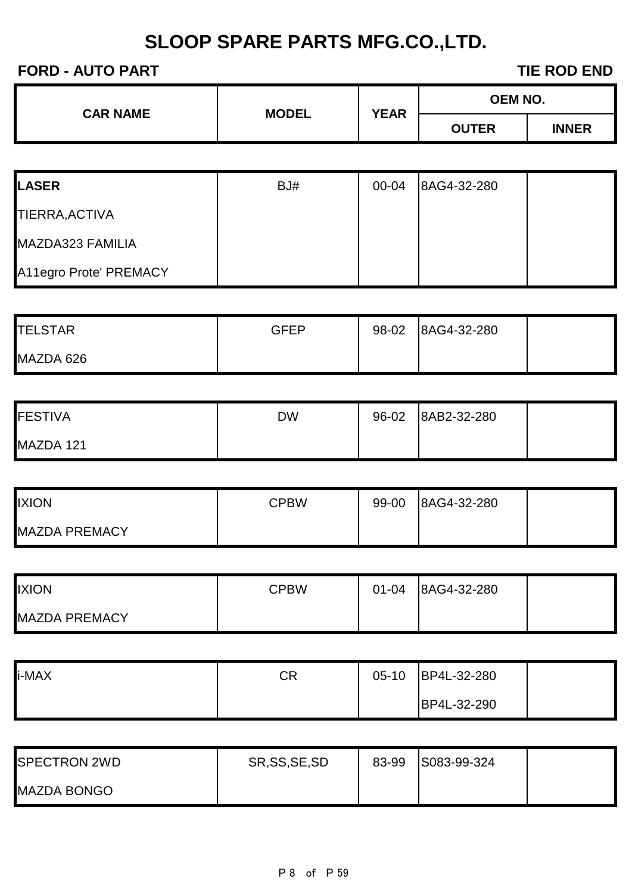#### **FORD - AUTO PART TIE ROD END**

| <b>CAR NAME</b> | <b>MODEL</b> | <b>YEAR</b> | <b>OEM NO.</b> |              |
|-----------------|--------------|-------------|----------------|--------------|
|                 |              |             | <b>OUTER</b>   | <b>INNER</b> |

| <b>LASER</b>           | BJ# | 00-04 | 8AG4-32-280 |  |
|------------------------|-----|-------|-------------|--|
| TIERRA, ACTIVA         |     |       |             |  |
| MAZDA323 FAMILIA       |     |       |             |  |
| A11egro Prote' PREMACY |     |       |             |  |

| <b>TELSTAR</b> | <b>GFEP</b> | 98-02 | 8AG4-32-280 |  |
|----------------|-------------|-------|-------------|--|
| MAZDA 626      |             |       |             |  |

| <b>FESTIVA</b> | <b>DW</b> | 96-02 | 8AB2-32-280 |  |
|----------------|-----------|-------|-------------|--|
| MAZDA 121      |           |       |             |  |

| <b>IXION</b>         | <b>CPBW</b> | 99-00 | 8AG4-32-280 |  |
|----------------------|-------------|-------|-------------|--|
| <b>MAZDA PREMACY</b> |             |       |             |  |

| <b>IXION</b>         | <b>CPBW</b> | $01 - 04$ | 8AG4-32-280 |  |
|----------------------|-------------|-----------|-------------|--|
| <b>MAZDA PREMACY</b> |             |           |             |  |

| i-MAX | СR | $05-10$ | BP4L-32-280 |  |
|-------|----|---------|-------------|--|
|       |    |         | BP4L-32-290 |  |

| <b>SPECTRON 2WD</b> | SR, SS, SE, SD | 83-99 | S083-99-324 |  |
|---------------------|----------------|-------|-------------|--|
| <b>MAZDA BONGO</b>  |                |       |             |  |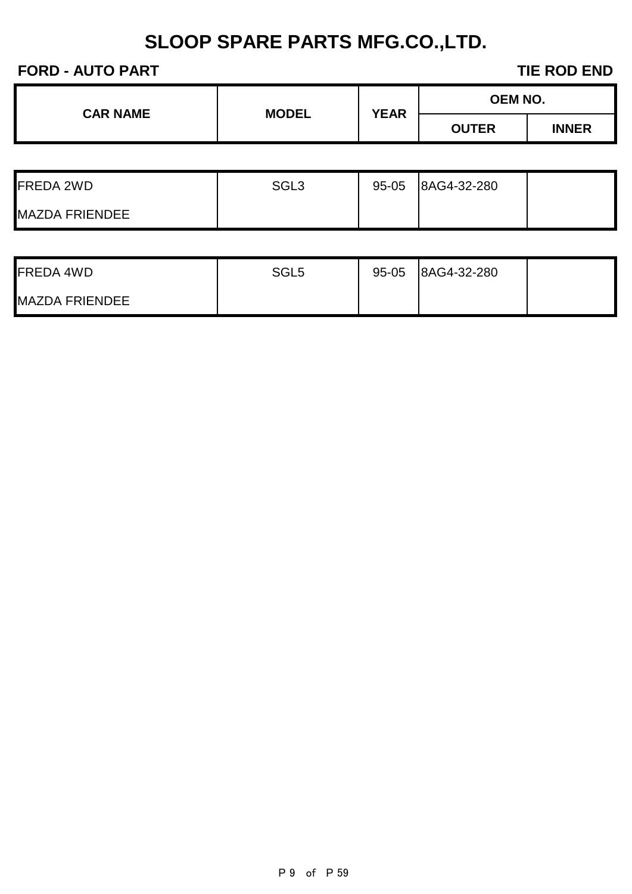#### **FORD - AUTO PART TIE ROD END**

| <b>CAR NAME</b> | <b>MODEL</b> | <b>YEAR</b> | <b>OEM NO.</b> |              |
|-----------------|--------------|-------------|----------------|--------------|
|                 |              |             | <b>OUTER</b>   | <b>INNER</b> |
|                 |              |             |                |              |

| <b>FREDA 2WD</b>      | SGL <sub>3</sub> | $95 - 05$ | 8AG4-32-280 |  |
|-----------------------|------------------|-----------|-------------|--|
| <b>MAZDA FRIENDEE</b> |                  |           |             |  |

| <b>FREDA 4WD</b>      | SGL <sub>5</sub> | $95 - 05$ | 8AG4-32-280 |  |
|-----------------------|------------------|-----------|-------------|--|
| <b>MAZDA FRIENDEE</b> |                  |           |             |  |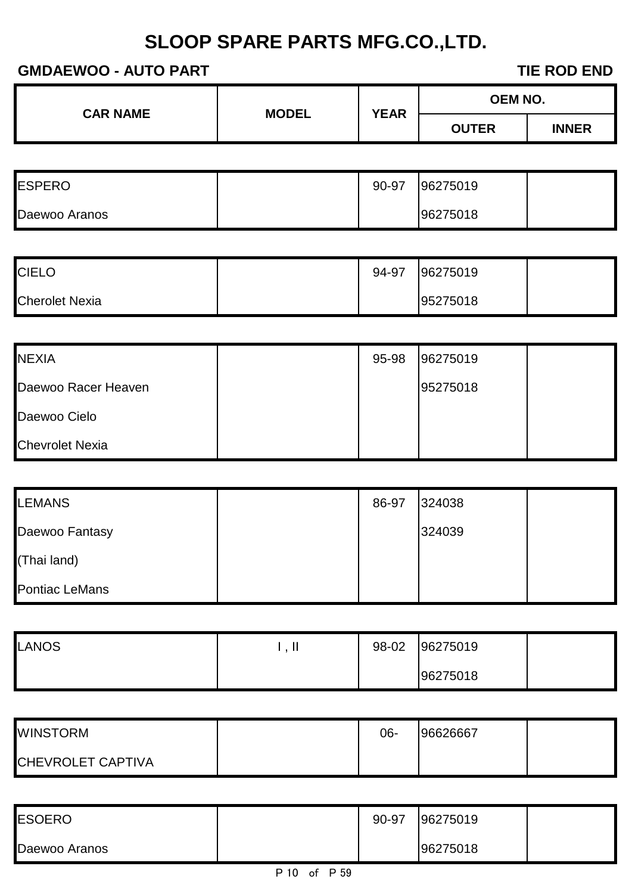#### **GMDAEWOO - AUTO PART TIE ROD END**

| <b>CAR NAME</b> | <b>MODEL</b> | <b>YEAR</b> | <b>OEM NO.</b> |              |
|-----------------|--------------|-------------|----------------|--------------|
|                 |              |             | <b>OUTER</b>   | <b>INNER</b> |

| <b>ESPERO</b> | 90-97 | 96275019 |  |
|---------------|-------|----------|--|
| Daewoo Aranos |       | 96275018 |  |

| <b>CIELO</b>          | 94-97 | 96275019 |  |
|-----------------------|-------|----------|--|
| <b>Cherolet Nexia</b> |       | 95275018 |  |

| <b>NEXIA</b>           | 95-98 | 96275019 |  |
|------------------------|-------|----------|--|
| Daewoo Racer Heaven    |       | 95275018 |  |
| Daewoo Cielo           |       |          |  |
| <b>Chevrolet Nexia</b> |       |          |  |

| <b>LEMANS</b>         | 86-97 | 324038 |  |
|-----------------------|-------|--------|--|
| Daewoo Fantasy        |       | 324039 |  |
| (Thai land)           |       |        |  |
| <b>Pontiac LeMans</b> |       |        |  |

| <b>LANOS</b> | ., II | 98-02 | 96275019 |  |
|--------------|-------|-------|----------|--|
|              |       |       | 96275018 |  |

| <b>WINSTORM</b>          | 06- | 96626667 |  |
|--------------------------|-----|----------|--|
| <b>CHEVROLET CAPTIVA</b> |     |          |  |

| <b>ESOERO</b> | 90-97 | 96275019 |  |
|---------------|-------|----------|--|
| Daewoo Aranos |       | 96275018 |  |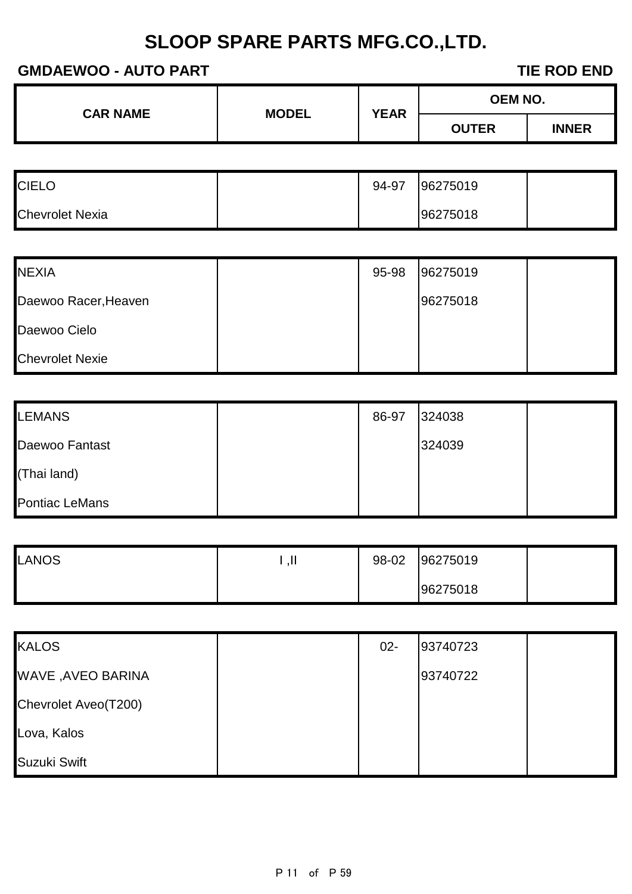#### **GMDAEWOO - AUTO PART TIE ROD END**

|  | <b>TIE ROD END</b> |  |
|--|--------------------|--|
|--|--------------------|--|

| <b>CAR NAME</b> | <b>MODEL</b> | <b>YEAR</b> | <b>OEM NO.</b> |              |
|-----------------|--------------|-------------|----------------|--------------|
|                 |              |             | <b>OUTER</b>   | <b>INNER</b> |

| <b>CIELO</b>           | 94-97 | 96275019 |  |
|------------------------|-------|----------|--|
| <b>Chevrolet Nexia</b> |       | 96275018 |  |

| <b>NEXIA</b>           | 95-98 | 96275019 |  |
|------------------------|-------|----------|--|
| Daewoo Racer, Heaven   |       | 96275018 |  |
| Daewoo Cielo           |       |          |  |
| <b>Chevrolet Nexie</b> |       |          |  |

| <b>LEMANS</b>         | 86-97 | 324038 |  |
|-----------------------|-------|--------|--|
| Daewoo Fantast        |       | 324039 |  |
| (Thai land)           |       |        |  |
| <b>Pontiac LeMans</b> |       |        |  |

| LANOS | اا, | 98-02 | 96275019 |  |
|-------|-----|-------|----------|--|
|       |     |       | 96275018 |  |

| <b>KALOS</b>             | $02 -$ | 93740723 |  |
|--------------------------|--------|----------|--|
| <b>WAVE, AVEO BARINA</b> |        | 93740722 |  |
| Chevrolet Aveo(T200)     |        |          |  |
| Lova, Kalos              |        |          |  |
| Suzuki Swift             |        |          |  |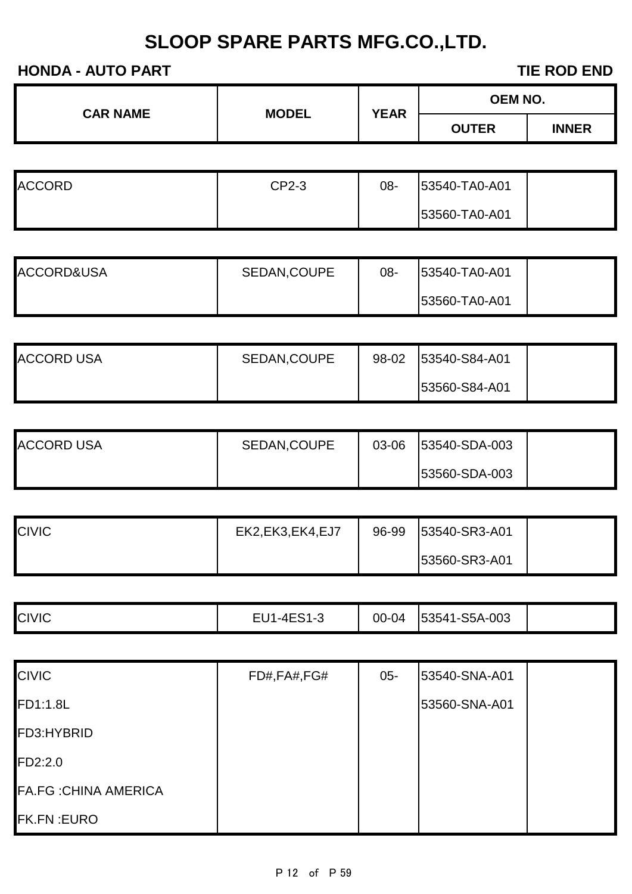| <b>CAR NAME</b> |              | <b>YEAR</b> | <b>OEM NO.</b> |              |
|-----------------|--------------|-------------|----------------|--------------|
|                 | <b>MODEL</b> |             | <b>OUTER</b>   | <b>INNER</b> |
|                 |              |             |                |              |

| <b>ACCORD</b> | CP2-3 | 08- | 53540-TA0-A01 |  |
|---------------|-------|-----|---------------|--|
|               |       |     | 53560-TA0-A01 |  |

| <b>ACCORD&amp;USA</b> | SEDAN, COUPE | 08- | <b>53540-TA0-A01</b> |  |
|-----------------------|--------------|-----|----------------------|--|
|                       |              |     | <b>53560-TA0-A01</b> |  |

| <b>ACCORD USA</b> | SEDAN, COUPE | 98-02 | 53540-S84-A01 |  |
|-------------------|--------------|-------|---------------|--|
|                   |              |       | 53560-S84-A01 |  |

| <b>ACCORD USA</b> | SEDAN, COUPE | 03-06 | 53540-SDA-003 |  |
|-------------------|--------------|-------|---------------|--|
|                   |              |       | 53560-SDA-003 |  |

| <b>CIVIC</b> | EK2, EK3, EK4, EJ7 | 96-99 | 53540-SR3-A01 |  |
|--------------|--------------------|-------|---------------|--|
|              |                    |       | 53560-SR3-A01 |  |

|  | <b>CIVIC</b> | <u>-ດ ≀ດ</u><br>⊶⊿⊢∽<br>د- ا<br>$\sim$ | 00-04 | I-S5A-003<br>153541 |  |
|--|--------------|----------------------------------------|-------|---------------------|--|
|--|--------------|----------------------------------------|-------|---------------------|--|

| <b>CIVIC</b>                 | FD#,FA#,FG# | $05 -$ | 53540-SNA-A01 |  |
|------------------------------|-------------|--------|---------------|--|
| FD1:1.8L                     |             |        | 53560-SNA-A01 |  |
| FD3:HYBRID                   |             |        |               |  |
| FD2:2.0                      |             |        |               |  |
| <b>FA.FG : CHINA AMERICA</b> |             |        |               |  |
| <b>FK.FN:EURO</b>            |             |        |               |  |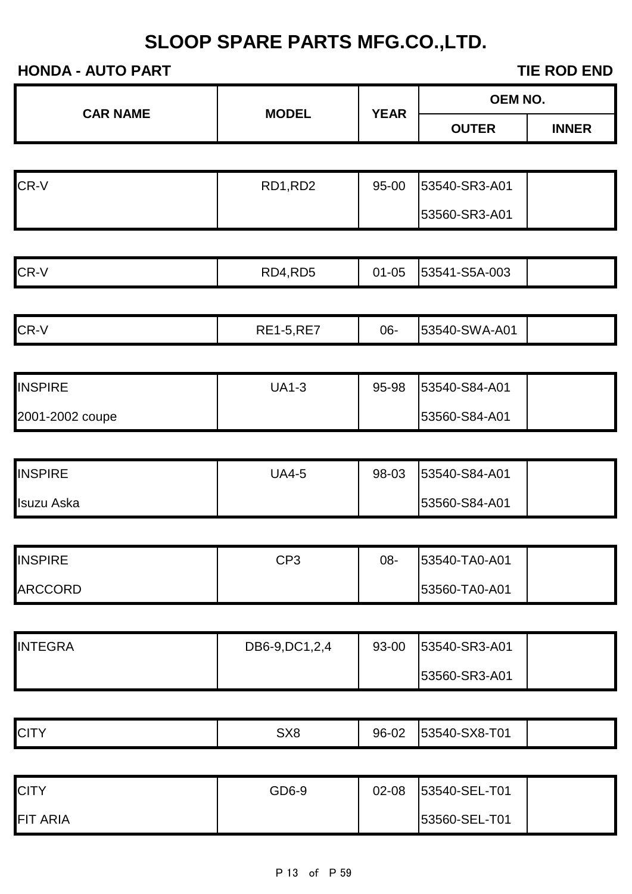| <b>HONDA - AUTO PART</b> |                   |             | <b>TIE ROD END</b> |              |
|--------------------------|-------------------|-------------|--------------------|--------------|
| <b>CAR NAME</b>          | <b>MODEL</b>      | <b>YEAR</b> | <b>OEM NO.</b>     |              |
|                          |                   |             | <b>OUTER</b>       | <b>INNER</b> |
|                          |                   |             |                    |              |
| CR-V                     | RD1,RD2           | 95-00       | 53540-SR3-A01      |              |
|                          |                   |             | 53560-SR3-A01      |              |
|                          |                   |             |                    |              |
| CR-V                     | RD4,RD5           | $01 - 05$   | 53541-S5A-003      |              |
|                          |                   |             |                    |              |
| CR-V                     | <b>RE1-5, RE7</b> | 06-         | 53540-SWA-A01      |              |
|                          |                   |             |                    |              |
| <b>INSPIRE</b>           | <b>UA1-3</b>      | 95-98       | 53540-S84-A01      |              |
| 2001-2002 coupe          |                   |             | 53560-S84-A01      |              |
|                          |                   |             |                    |              |
| <b>INSPIRE</b>           | <b>UA4-5</b>      | 98-03       | 53540-S84-A01      |              |
| Isuzu Aska               |                   |             | 53560-S84-A01      |              |
|                          |                   |             |                    |              |
| <b>INSPIRE</b>           | CP <sub>3</sub>   | 08-         | 53540-TA0-A01      |              |
| ARCCORD                  |                   |             | 53560-TA0-A01      |              |
|                          |                   |             |                    |              |
| <b>INTEGRA</b>           | DB6-9, DC1, 2, 4  | 93-00       | 53540-SR3-A01      |              |
|                          |                   |             | 53560-SR3-A01      |              |
|                          |                   |             |                    |              |
| <b>CITY</b>              | SX8               | 96-02       | 53540-SX8-T01      |              |
|                          |                   |             |                    |              |
| <b>CITY</b>              | GD6-9             | 02-08       | 53540-SEL-T01      |              |
| <b>FIT ARIA</b>          |                   |             | 53560-SEL-T01      |              |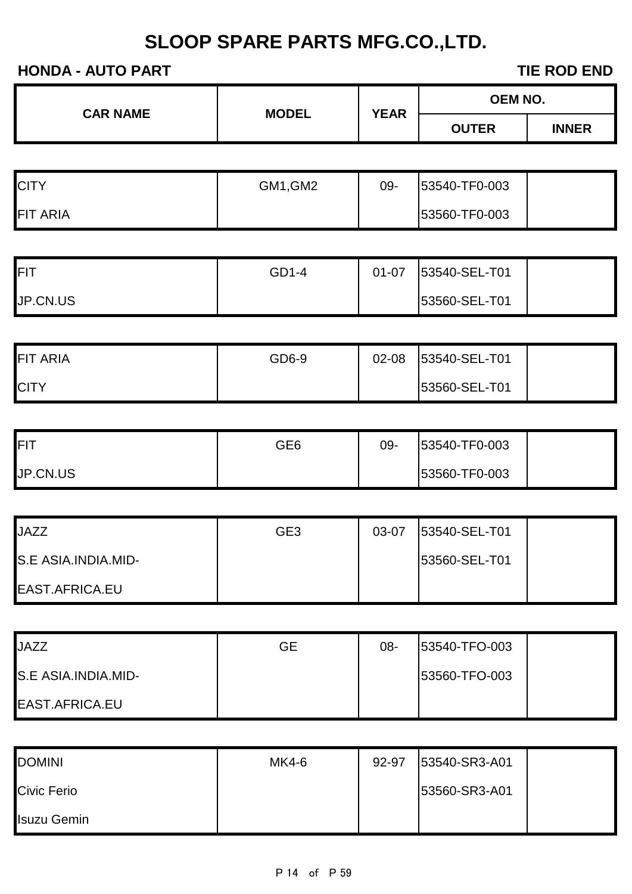| <b>MODEL</b>    | <b>YEAR</b> | <b>OEM NO.</b><br><b>OUTER</b> |              |
|-----------------|-------------|--------------------------------|--------------|
|                 |             |                                |              |
|                 |             |                                | <b>INNER</b> |
|                 |             |                                |              |
|                 | 09-         | 53540-TF0-003                  |              |
|                 |             | 53560-TF0-003                  |              |
|                 |             |                                |              |
| GD1-4           | $01 - 07$   | 53540-SEL-T01                  |              |
|                 |             | 53560-SEL-T01                  |              |
|                 |             |                                |              |
| GD6-9           | 02-08       | 53540-SEL-T01                  |              |
|                 |             | 53560-SEL-T01                  |              |
|                 |             |                                |              |
| GE <sub>6</sub> | 09-         | 53540-TF0-003                  |              |
|                 |             | 53560-TF0-003                  |              |
|                 |             |                                |              |
| GE <sub>3</sub> | 03-07       | 53540-SEL-T01                  |              |
|                 |             | 53560-SEL-T01                  |              |
|                 |             |                                |              |
|                 |             |                                |              |
| <b>GE</b>       | 08-         | 53540-TFO-003                  |              |
|                 |             | 53560-TFO-003                  |              |
|                 |             |                                |              |
|                 |             |                                |              |
| <b>MK4-6</b>    | 92-97       | 53540-SR3-A01                  |              |
|                 |             | 53560-SR3-A01                  |              |
|                 | GM1, GM2    |                                |              |

Isuzu Gemin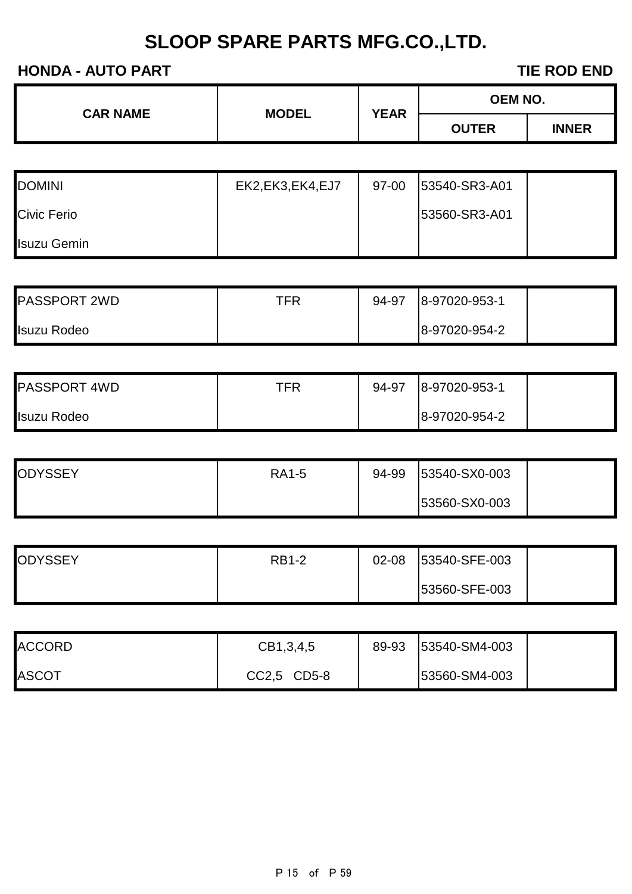| <b>CAR NAME</b> | <b>MODEL</b> | <b>YEAR</b> | <b>OEM NO.</b> |              |
|-----------------|--------------|-------------|----------------|--------------|
|                 |              |             | <b>OUTER</b>   | <b>INNER</b> |
|                 |              |             |                |              |

| <b>DOMINI</b>      | EK2, EK3, EK4, EJ7 | 97-00 | 53540-SR3-A01 |  |
|--------------------|--------------------|-------|---------------|--|
| <b>Civic Ferio</b> |                    |       | 53560-SR3-A01 |  |
| <b>Isuzu Gemin</b> |                    |       |               |  |

| <b>PASSPORT 2WD</b> | TFR | 94-97 | 8-97020-953-1 |  |
|---------------------|-----|-------|---------------|--|
| <b>Isuzu Rodeo</b>  |     |       | 8-97020-954-2 |  |

| <b>PASSPORT 4WD</b> | TFR. | 94-97 | 8-97020-953-1 |  |
|---------------------|------|-------|---------------|--|
| <b>Isuzu Rodeo</b>  |      |       | 8-97020-954-2 |  |

| <b>ODYSSEY</b> | <b>RA1-5</b> | 94-99 | 53540-SX0-003 |
|----------------|--------------|-------|---------------|
|                |              |       | 53560-SX0-003 |

| <b>ODYSSEY</b> | <b>RB1-2</b> | $02 - 08$ | 53540-SFE-003 |  |
|----------------|--------------|-----------|---------------|--|
|                |              |           | 53560-SFE-003 |  |

| <b>ACCORD</b> | CB1,3,4,5   | 89-93 | 53540-SM4-003 |  |
|---------------|-------------|-------|---------------|--|
| <b>ASCOT</b>  | CC2,5 CD5-8 |       | 53560-SM4-003 |  |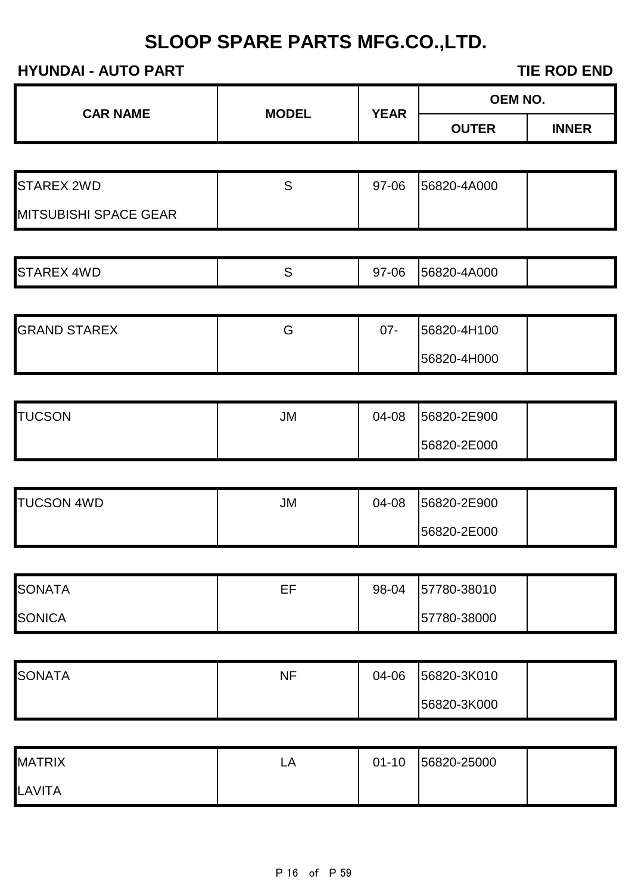|                       |              |             | <b>OEM NO.</b> |              |
|-----------------------|--------------|-------------|----------------|--------------|
| <b>CAR NAME</b>       | <b>MODEL</b> | <b>YEAR</b> | <b>OUTER</b>   | <b>INNER</b> |
|                       |              |             |                |              |
| <b>STAREX 2WD</b>     | S            | 97-06       | 56820-4A000    |              |
| MITSUBISHI SPACE GEAR |              |             |                |              |
|                       |              |             |                |              |
| <b>STAREX 4WD</b>     | S            | 97-06       | 56820-4A000    |              |
|                       |              |             |                |              |
| <b>GRAND STAREX</b>   | G            | $07 -$      | 56820-4H100    |              |
|                       |              |             | 56820-4H000    |              |
|                       |              |             |                |              |
| <b>TUCSON</b>         | <b>JM</b>    | 04-08       | 56820-2E900    |              |
|                       |              |             | 56820-2E000    |              |
| <b>TUCSON 4WD</b>     | <b>JM</b>    | 04-08       | 56820-2E900    |              |
|                       |              |             |                |              |
|                       |              |             | 56820-2E000    |              |
| <b>SONATA</b>         | EF           | 98-04       | 57780-38010    |              |
| <b>SONICA</b>         |              |             | 57780-38000    |              |
|                       |              |             |                |              |
| <b>SONATA</b>         | <b>NF</b>    | 04-06       | 56820-3K010    |              |
|                       |              |             | 56820-3K000    |              |
|                       |              |             |                |              |
| <b>MATRIX</b>         | LA           | $01 - 10$   | 56820-25000    |              |
| LAVITA                |              |             |                |              |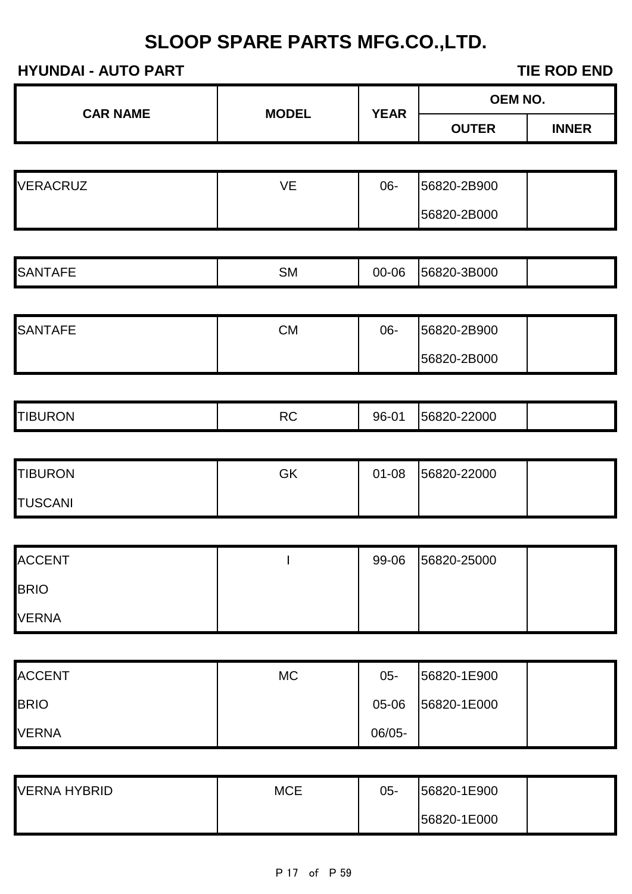|                     |              |             | OEM NO.      |              |
|---------------------|--------------|-------------|--------------|--------------|
| <b>CAR NAME</b>     | <b>MODEL</b> | <b>YEAR</b> | <b>OUTER</b> | <b>INNER</b> |
|                     |              |             |              |              |
| <b>VERACRUZ</b>     | VE           | 06-         | 56820-2B900  |              |
|                     |              |             | 56820-2B000  |              |
|                     |              |             |              |              |
| <b>SANTAFE</b>      | <b>SM</b>    | 00-06       | 56820-3B000  |              |
| <b>SANTAFE</b>      |              |             |              |              |
|                     | CM           | 06-         | 56820-2B900  |              |
|                     |              |             | 56820-2B000  |              |
| <b>TIBURON</b>      | RC           | 96-01       | 56820-22000  |              |
|                     |              |             |              |              |
| <b>TIBURON</b>      | GK           | $01 - 08$   | 56820-22000  |              |
| <b>TUSCANI</b>      |              |             |              |              |
|                     |              |             |              |              |
| <b>ACCENT</b>       |              | 99-06       | 56820-25000  |              |
| <b>BRIO</b>         |              |             |              |              |
| <b>VERNA</b>        |              |             |              |              |
| <b>ACCENT</b>       | <b>MC</b>    | $05 -$      | 56820-1E900  |              |
|                     |              |             |              |              |
| <b>BRIO</b>         |              | 05-06       | 56820-1E000  |              |
| <b>VERNA</b>        |              | 06/05-      |              |              |
| <b>VERNA HYBRID</b> | <b>MCE</b>   | $05 -$      | 56820-1E900  |              |
|                     |              |             | 56820-1E000  |              |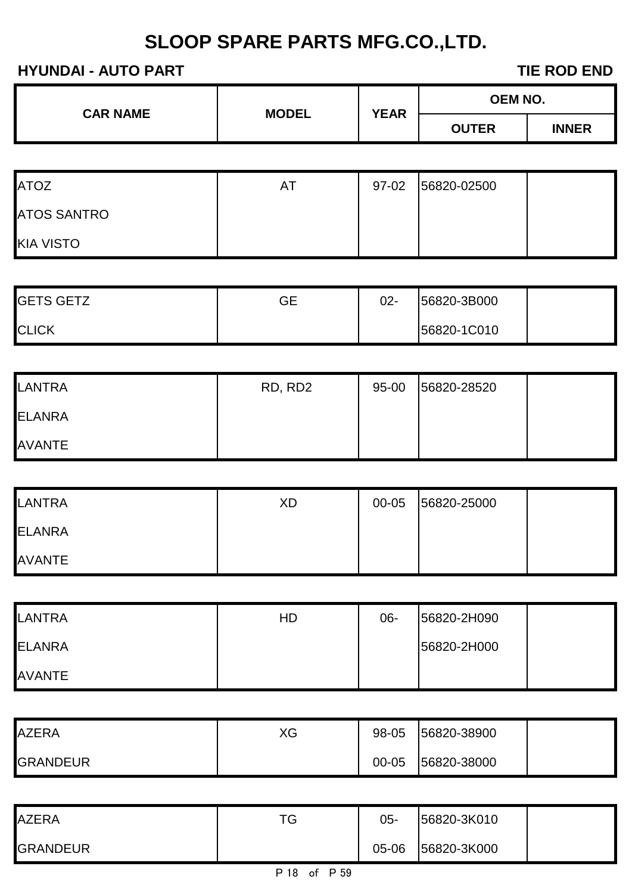|                 |              | <b>YEAR</b> | <b>OEM NO.</b> |              |
|-----------------|--------------|-------------|----------------|--------------|
| <b>CAR NAME</b> | <b>MODEL</b> |             | <b>OUTER</b>   | <b>INNER</b> |

| <b>ATOZ</b>        | ΑI | 97-02 | 56820-02500 |
|--------------------|----|-------|-------------|
| <b>ATOS SANTRO</b> |    |       |             |
| <b>KIA VISTO</b>   |    |       |             |

| <b>GETS GETZ</b> | GЕ | $02 -$ | 56820-3B000 |  |
|------------------|----|--------|-------------|--|
| <b>CLICK</b>     |    |        | 56820-1C010 |  |

| <b>LANTRA</b> | RD, RD2 | $95 - 00$ | 56820-28520 |  |
|---------------|---------|-----------|-------------|--|
| <b>ELANRA</b> |         |           |             |  |
| <b>AVANTE</b> |         |           |             |  |

| <b>LANTRA</b> | XD | 00-05 | 56820-25000 |  |
|---------------|----|-------|-------------|--|
| <b>ELANRA</b> |    |       |             |  |
| <b>AVANTE</b> |    |       |             |  |

| LANTRA        | HD | $06 -$ | 56820-2H090 |  |
|---------------|----|--------|-------------|--|
| <b>ELANRA</b> |    |        | 56820-2H000 |  |
| <b>AVANTE</b> |    |        |             |  |

| <b>AZERA</b>    | XG | 98-05     | 56820-38900 |  |
|-----------------|----|-----------|-------------|--|
| <b>GRANDEUR</b> |    | $00 - 05$ | 56820-38000 |  |

| <b>AZERA</b>    | TG | $05 -$ | 56820-3K010 |  |
|-----------------|----|--------|-------------|--|
| <b>GRANDEUR</b> |    | 05-06  | 56820-3K000 |  |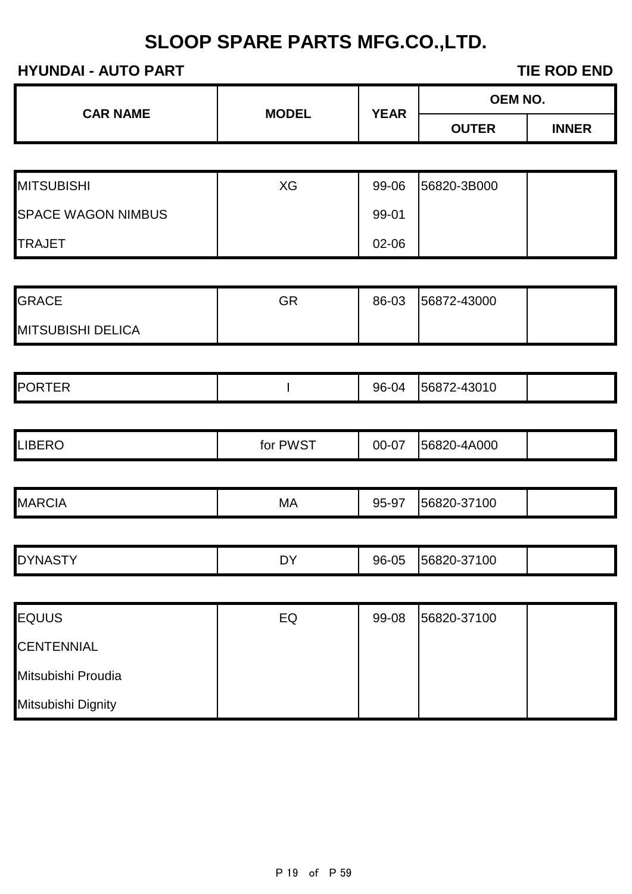| <b>CAR NAME</b>           | <b>MODEL</b> | <b>YEAR</b> | <b>OEM NO.</b> |              |
|---------------------------|--------------|-------------|----------------|--------------|
|                           |              |             | <b>OUTER</b>   | <b>INNER</b> |
|                           |              |             |                |              |
| <b>MITSUBISHI</b>         | XG           | 99-06       | 56820-3B000    |              |
| <b>SPACE WAGON NIMBUS</b> |              | 99-01       |                |              |

| <b>TRAJET</b>          |    | 02-06 |             |  |
|------------------------|----|-------|-------------|--|
|                        |    |       |             |  |
| $\Gamma$ D $\Lambda$ C | ∩o | 00000 | ECO72.42000 |  |

| <b>GRACE</b>             | GR | 86-03 | 56872-43000 |  |
|--------------------------|----|-------|-------------|--|
| <b>MITSUBISHI DELICA</b> |    |       |             |  |

| D∩<br>---<br>- - -<br>┄ | 96-04 | ີ <sup>າ</sup> -4301ບ<br>.<br>.nna |  |
|-------------------------|-------|------------------------------------|--|
|                         |       |                                    |  |

| <b>LIBERO</b> | $\sqrt{10T}$<br>∴,∨0<br>tor | $\sim$ $\sim$<br>00-0<br>∙∪ | .000 |  |
|---------------|-----------------------------|-----------------------------|------|--|
|               |                             |                             |      |  |

| <b>MARCIA</b> | MA | $\sim$<br>95.9<br>ັບ<br>ັ | 37100<br>ანნზ<br>/د-∪∠، |  |
|---------------|----|---------------------------|-------------------------|--|
|               |    |                           |                         |  |

| <b>DYNAS</b> | nv | -75<br>96<br>ิ∪∪ | 56820-37<br>$-37100$ |  |
|--------------|----|------------------|----------------------|--|
|              |    |                  |                      |  |

| <b>EQUUS</b>       | EQ | 99-08 | 56820-37100 |  |
|--------------------|----|-------|-------------|--|
| <b>CENTENNIAL</b>  |    |       |             |  |
| Mitsubishi Proudia |    |       |             |  |
| Mitsubishi Dignity |    |       |             |  |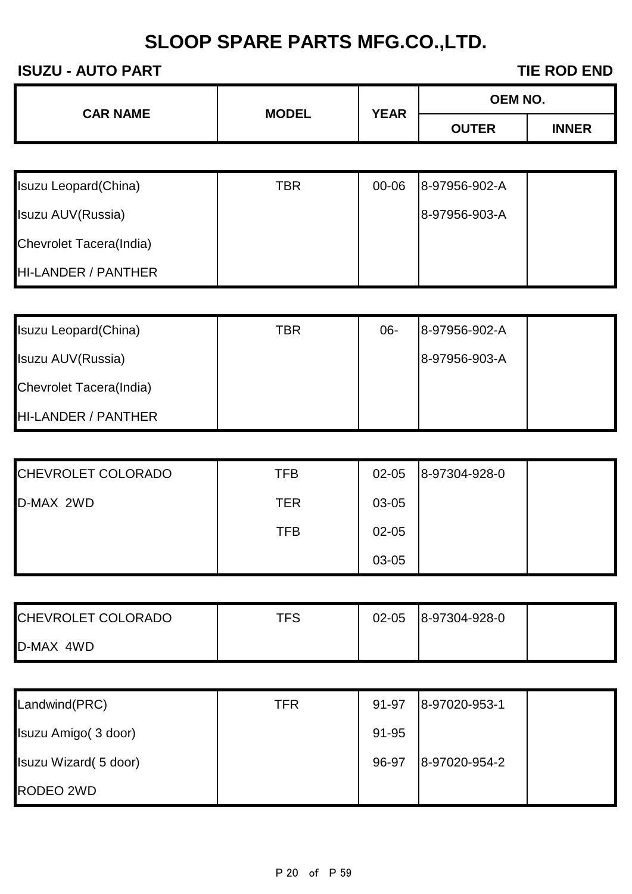| <b>CAR NAME</b>             | <b>MODEL</b> | <b>YEAR</b> | <b>OEM NO.</b> |              |
|-----------------------------|--------------|-------------|----------------|--------------|
|                             |              |             | <b>OUTER</b>   | <b>INNER</b> |
|                             |              |             |                |              |
| <b>Isuzu Leopard(China)</b> | <b>TBR</b>   | 00-06       | 8-97956-902-A  |              |
| Isuzu AUV(Russia)           |              |             | 8-97956-903-A  |              |
| Chevrolet Tacera(India)     |              |             |                |              |
| HI-LANDER / PANTHER         |              |             |                |              |

| Isuzu Leopard (China)          | TBR | 06- | 8-97956-902-A |  |
|--------------------------------|-----|-----|---------------|--|
| Isuzu AUV(Russia)              |     |     | 8-97956-903-A |  |
| <b>Chevrolet Tacera(India)</b> |     |     |               |  |
| HI-LANDER / PANTHER            |     |     |               |  |

| CHEVROLET COLORADO | TFB        | $02 - 05$ | 8-97304-928-0 |
|--------------------|------------|-----------|---------------|
| D-MAX 2WD          | TER        | 03-05     |               |
|                    | <b>TFB</b> | $02 - 05$ |               |
|                    |            | 03-05     |               |

| <b>CHEVROLET COLORADO</b> | TFS | $02 - 05$ | 8-97304-928-0 |  |
|---------------------------|-----|-----------|---------------|--|
| D-MAX<br>4WD              |     |           |               |  |

| Landwind(PRC)         | TFR | 91-97 | 8-97020-953-1 |
|-----------------------|-----|-------|---------------|
| Isuzu Amigo (3 door)  |     | 91-95 |               |
| Isuzu Wizard (5 door) |     | 96-97 | 8-97020-954-2 |
| RODEO 2WD             |     |       |               |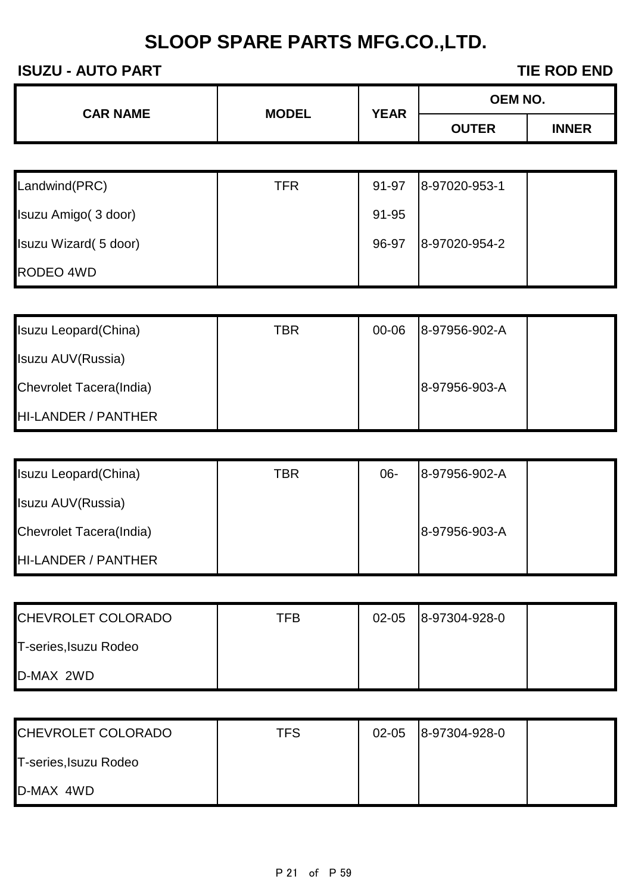#### **ISUZU - AUTO PART TIE ROD END**

RODEO 4WD

|                       | <b>CAR NAME</b><br><b>MODEL</b> | <b>YEAR</b> | <b>OEM NO.</b> |              |
|-----------------------|---------------------------------|-------------|----------------|--------------|
|                       |                                 |             | <b>OUTER</b>   | <b>INNER</b> |
|                       |                                 |             |                |              |
| Landwind(PRC)         | <b>TFR</b>                      | 91-97       | 8-97020-953-1  |              |
| Isuzu Amigo (3 door)  |                                 | 91-95       |                |              |
| Isuzu Wizard (5 door) |                                 | 96-97       | 8-97020-954-2  |              |

| <b>Isuzu Leopard (China)</b>   | TBR | $00 - 06$ | 8-97956-902-A |  |
|--------------------------------|-----|-----------|---------------|--|
| Isuzu AUV(Russia)              |     |           |               |  |
| <b>Chevrolet Tacera(India)</b> |     |           | 8-97956-903-A |  |
| HI-LANDER / PANTHER            |     |           |               |  |

| Isuzu Leopard (China)          | TBR | 06- | 8-97956-902-A |  |
|--------------------------------|-----|-----|---------------|--|
| Isuzu AUV(Russia)              |     |     |               |  |
| <b>Chevrolet Tacera(India)</b> |     |     | 8-97956-903-A |  |
| <b>HI-LANDER / PANTHER</b>     |     |     |               |  |

| CHEVROLET COLORADO    | TFB | $02 - 05$ | 8-97304-928-0 |  |
|-----------------------|-----|-----------|---------------|--|
| T-series, Isuzu Rodeo |     |           |               |  |
| D-MAX 2WD             |     |           |               |  |

| CHEVROLET COLORADO    | TFS | $02 - 05$ | 8-97304-928-0 |  |
|-----------------------|-----|-----------|---------------|--|
| T-series, Isuzu Rodeo |     |           |               |  |
| D-MAX 4WD             |     |           |               |  |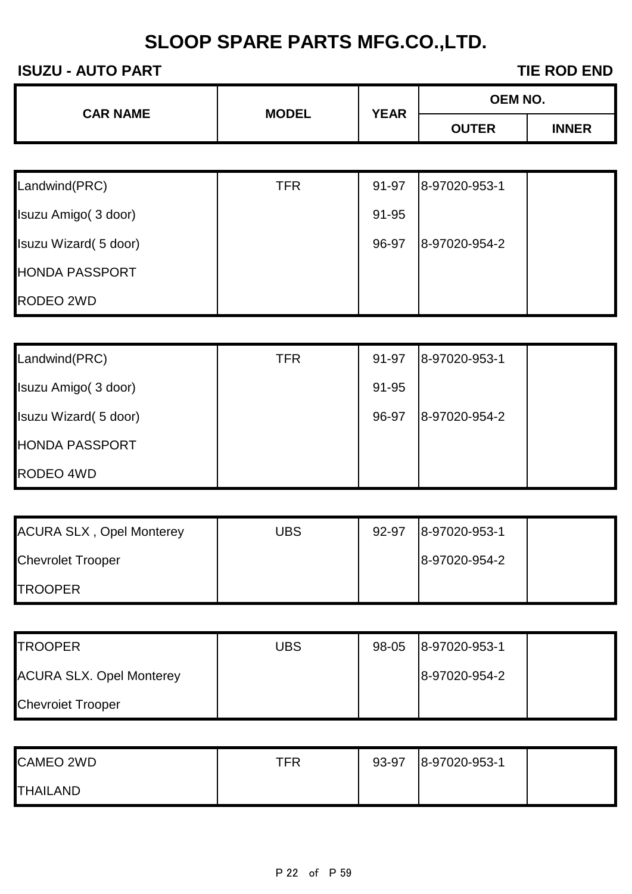| <b>CAR NAME</b> | <b>MODEL</b> | <b>YEAR</b> | OEM NO.        |              |
|-----------------|--------------|-------------|----------------|--------------|
|                 |              |             | <b>OUTER</b>   | <b>INNER</b> |
|                 |              |             |                |              |
| I andwind(PRC)  | TFR          | $Q1-Q7$     | 18-97020-953-1 |              |

| Landwind(PRC)         | TFR | 91-97 | 8-97020-953-1 |
|-----------------------|-----|-------|---------------|
| Isuzu Amigo (3 door)  |     | 91-95 |               |
| Isuzu Wizard (5 door) |     | 96-97 | 8-97020-954-2 |
| <b>HONDA PASSPORT</b> |     |       |               |
| RODEO 2WD             |     |       |               |

| Landwind(PRC)         | TFR | 91-97 | 8-97020-953-1 |
|-----------------------|-----|-------|---------------|
| Isuzu Amigo (3 door)  |     | 91-95 |               |
| Isuzu Wizard (5 door) |     | 96-97 | 8-97020-954-2 |
| <b>HONDA PASSPORT</b> |     |       |               |
| RODEO 4WD             |     |       |               |

| <b>ACURA SLX, Opel Monterey</b> | UBS | 92-97 | 8-97020-953-1 |
|---------------------------------|-----|-------|---------------|
| <b>Chevrolet Trooper</b>        |     |       | 8-97020-954-2 |
| <b>TROOPER</b>                  |     |       |               |

| <b>TROOPER</b>                  | UBS | 98-05 | 8-97020-953-1 |  |
|---------------------------------|-----|-------|---------------|--|
| <b>ACURA SLX. Opel Monterey</b> |     |       | 8-97020-954-2 |  |
| <b>Chevroiet Trooper</b>        |     |       |               |  |

| <b>CAMEO 2WD</b> | TFR. | 93-97 | 8-97020-953-1 |  |
|------------------|------|-------|---------------|--|
| <b>THAILAND</b>  |      |       |               |  |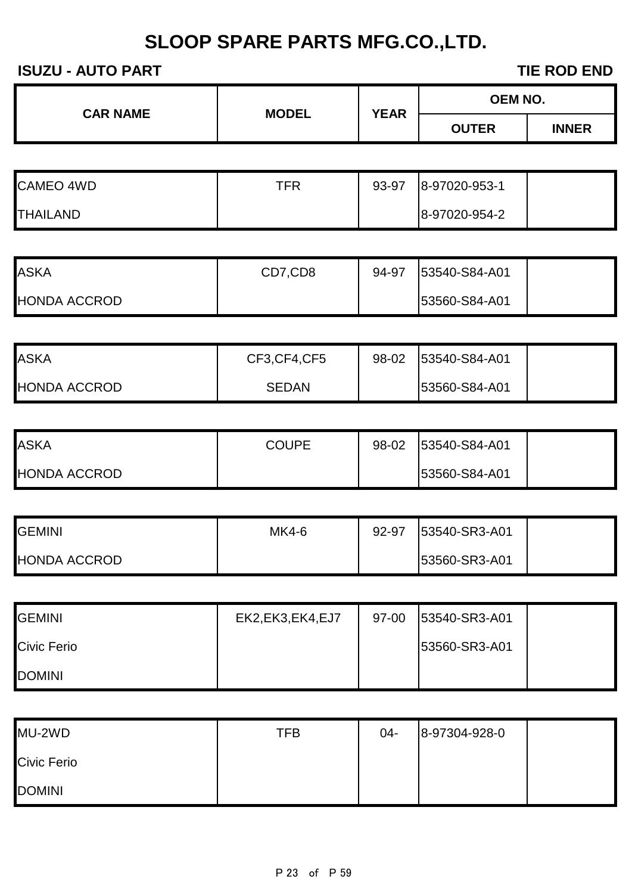$\top$ 

 $\overline{\phantom{a}}$ 

Τ

|                     |                 |             | <b>OEM NO.</b> |              |  |
|---------------------|-----------------|-------------|----------------|--------------|--|
| <b>CAR NAME</b>     | <b>MODEL</b>    | <b>YEAR</b> | <b>OUTER</b>   | <b>INNER</b> |  |
|                     |                 |             |                |              |  |
| <b>CAMEO 4WD</b>    | <b>TFR</b>      | 93-97       | 8-97020-953-1  |              |  |
| <b>THAILAND</b>     |                 |             | 8-97020-954-2  |              |  |
|                     |                 |             |                |              |  |
| <b>ASKA</b>         | CD7,CD8         | 94-97       | 53540-S84-A01  |              |  |
| <b>HONDA ACCROD</b> |                 |             | 53560-S84-A01  |              |  |
|                     |                 |             |                |              |  |
| <b>ASKA</b>         | CF3,CF4,CF5     | 98-02       | 53540-S84-A01  |              |  |
| <b>HONDA ACCROD</b> | <b>SEDAN</b>    |             | 53560-S84-A01  |              |  |
|                     |                 |             |                |              |  |
| <b>ASKA</b>         | <b>COUPE</b>    | 98-02       | 53540-S84-A01  |              |  |
| <b>HONDA ACCROD</b> |                 |             | 53560-S84-A01  |              |  |
|                     |                 |             |                |              |  |
| <b>GEMINI</b>       | MK4-6           | 92-97       | 53540-SR3-A01  |              |  |
| <b>HONDA ACCROD</b> |                 |             | 53560-SR3-A01  |              |  |
|                     |                 |             |                |              |  |
| <b>GEMINI</b>       | EK2,EK3,EK4,EJ7 | 97-00       | 53540-SR3-A01  |              |  |
| Civic Ferio         |                 |             | 53560-SR3-A01  |              |  |
| <b>DOMINI</b>       |                 |             |                |              |  |
|                     |                 |             |                |              |  |
| MU-2WD              | <b>TFB</b>      | $04 -$      | 8-97304-928-0  |              |  |
| Civic Ferio         |                 |             |                |              |  |
| <b>DOMINI</b>       |                 |             |                |              |  |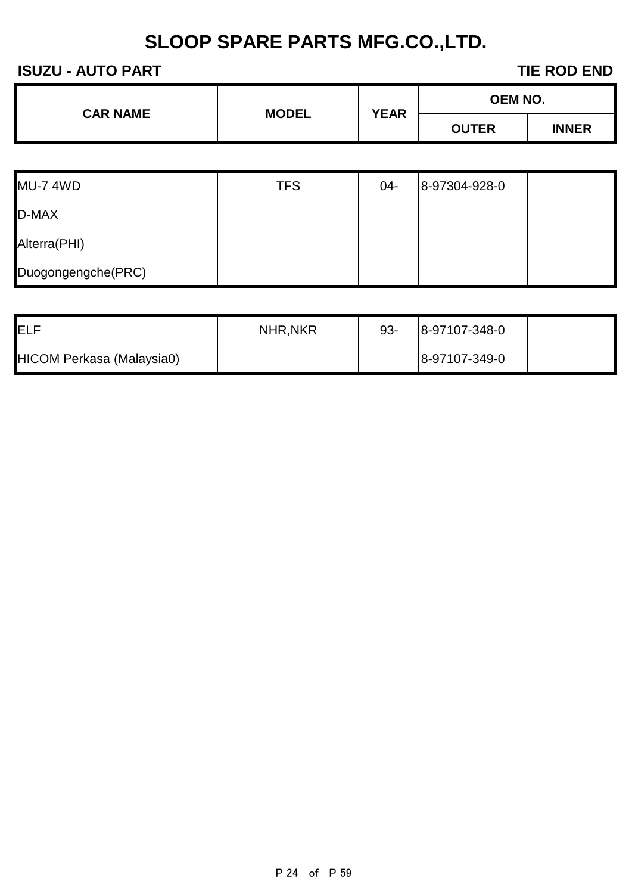| <b>CAR NAME</b>    | <b>MODEL</b> | <b>YEAR</b> | <b>OEM NO.</b> |              |
|--------------------|--------------|-------------|----------------|--------------|
|                    |              |             | <b>OUTER</b>   | <b>INNER</b> |
|                    |              |             |                |              |
| <b>MU-7 4WD</b>    | <b>TFS</b>   | $04 -$      | 8-97304-928-0  |              |
| D-MAX              |              |             |                |              |
| Alterra(PHI)       |              |             |                |              |
| Duogongengche(PRC) |              |             |                |              |
|                    |              |             |                |              |

| <b>IELF</b>                      | NHR, NKR | $93 -$ | 8-97107-348-0 |  |
|----------------------------------|----------|--------|---------------|--|
| <b>HICOM Perkasa (Malaysia0)</b> |          |        | 8-97107-349-0 |  |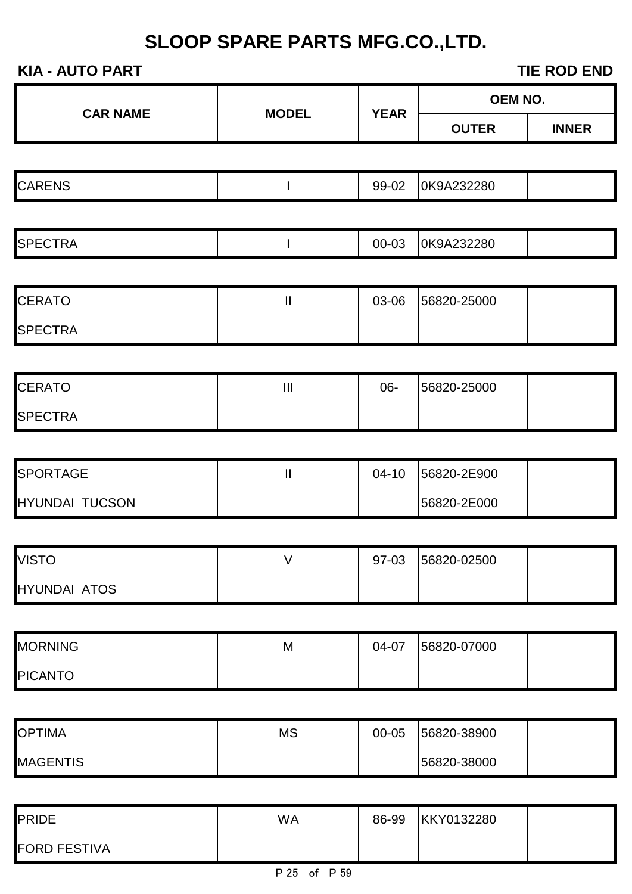# **KIA - AUTO PART TIE ROD END OUTER INNER** CARENS I 99-02 0K9A232280 SPECTRA I 00-03 0K9A232280 CERATO II 03-06 56820-25000 SPECTRA CERATO III 06- 56820-25000 **SPECTRA** SPORTAGE II 04-10 56820-2E900 HYUNDAI TUCSON 56820-2E000 VISTO V 97-03 56820-02500 HYUNDAI ATOS MORNING M 04-07 56820-07000 PICANTO OPTIMA MS 00-05 56820-38900 MAGENTIS 56820-38000 PRIDE WA 86-99 KKY0132280 **CAR NAME MODEL YEAR OEM NO.**

FORD FESTIVA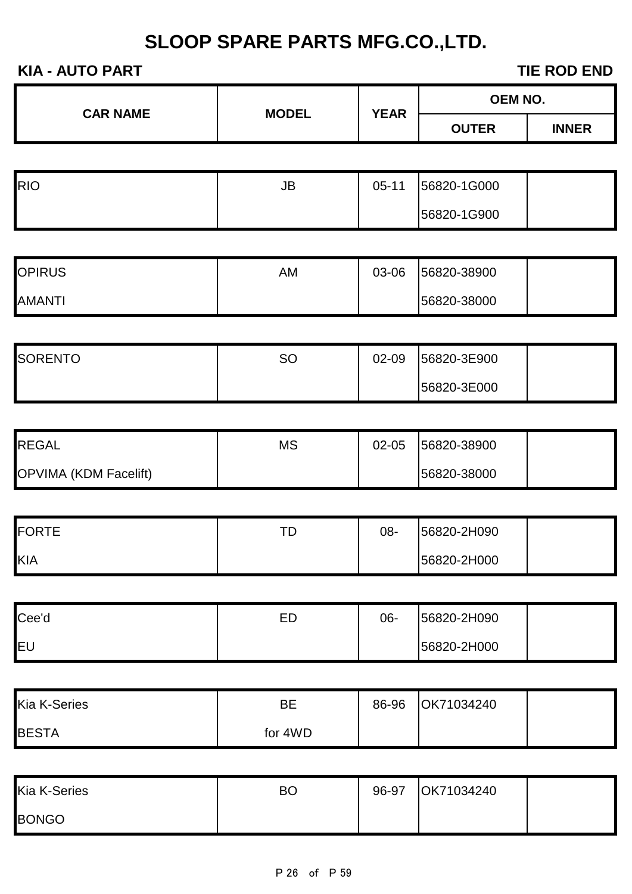| <b>KIA - AUTO PART</b><br><b>TIE ROD END</b> |                                                      |             |                |              |
|----------------------------------------------|------------------------------------------------------|-------------|----------------|--------------|
| <b>CAR NAME</b>                              | <b>MODEL</b>                                         | <b>YEAR</b> | <b>OEM NO.</b> |              |
|                                              |                                                      |             | <b>OUTER</b>   | <b>INNER</b> |
|                                              |                                                      |             |                |              |
| <b>RIO</b>                                   | $\mathsf{JB}% _{\mathsf{S}}\left( \mathsf{S}\right)$ | $05-11$     | 56820-1G000    |              |
|                                              |                                                      |             | 56820-1G900    |              |
|                                              |                                                      |             |                |              |
| <b>OPIRUS</b>                                | <b>AM</b>                                            | 03-06       | 56820-38900    |              |
| <b>AMANTI</b>                                |                                                      |             | 56820-38000    |              |
|                                              |                                                      |             |                |              |
| <b>SORENTO</b>                               | SO                                                   | 02-09       | 56820-3E900    |              |
|                                              |                                                      |             | 56820-3E000    |              |
|                                              |                                                      |             |                |              |
| <b>REGAL</b>                                 | <b>MS</b>                                            | 02-05       | 56820-38900    |              |
| <b>OPVIMA (KDM Facelift)</b>                 |                                                      |             | 56820-38000    |              |
|                                              |                                                      |             |                |              |
| <b>FORTE</b>                                 | TD                                                   | 08-         | 56820-2H090    |              |
| <b>KIA</b>                                   |                                                      |             | 56820-2H000    |              |
|                                              |                                                      |             |                |              |
| Cee'd                                        | ED                                                   | 06-         | 56820-2H090    |              |
| <b>EU</b>                                    |                                                      |             | 56820-2H000    |              |
|                                              |                                                      |             |                |              |
| <b>Kia K-Series</b>                          | BE                                                   | 86-96       | OK71034240     |              |
| <b>BESTA</b>                                 | for 4WD                                              |             |                |              |
|                                              |                                                      |             |                |              |
| Kia K-Series                                 | <b>BO</b>                                            | 96-97       | OK71034240     |              |
| <b>BONGO</b>                                 |                                                      |             |                |              |
|                                              |                                                      |             |                |              |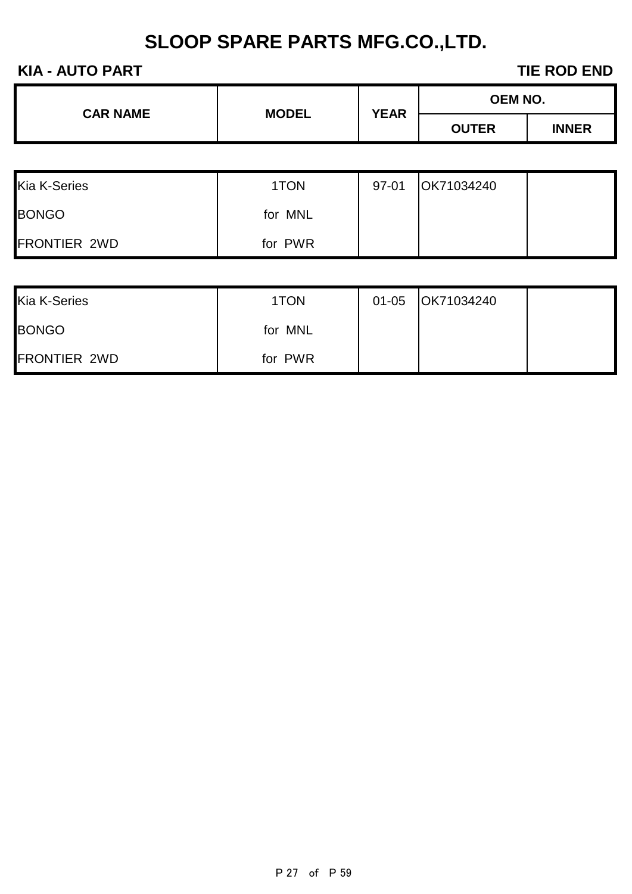#### **KIA - AUTO PART TIE ROD END**

FRONTIER 2WD for PWR

| <b>CAR NAME</b>     | <b>MODEL</b><br><b>YEAR</b> | <b>OEM NO.</b> |              |              |
|---------------------|-----------------------------|----------------|--------------|--------------|
|                     |                             |                | <b>OUTER</b> | <b>INNER</b> |
|                     |                             |                |              |              |
| <b>Kia K-Series</b> | 1TON                        | $97 - 01$      | OK71034240   |              |
| <b>BONGO</b>        | for MNL                     |                |              |              |
| <b>FRONTIER 2WD</b> | for PWR                     |                |              |              |
|                     |                             |                |              |              |
| <b>Kia K-Series</b> | 1TON                        | $01 - 05$      | OK71034240   |              |
| <b>BONGO</b>        | for MNL                     |                |              |              |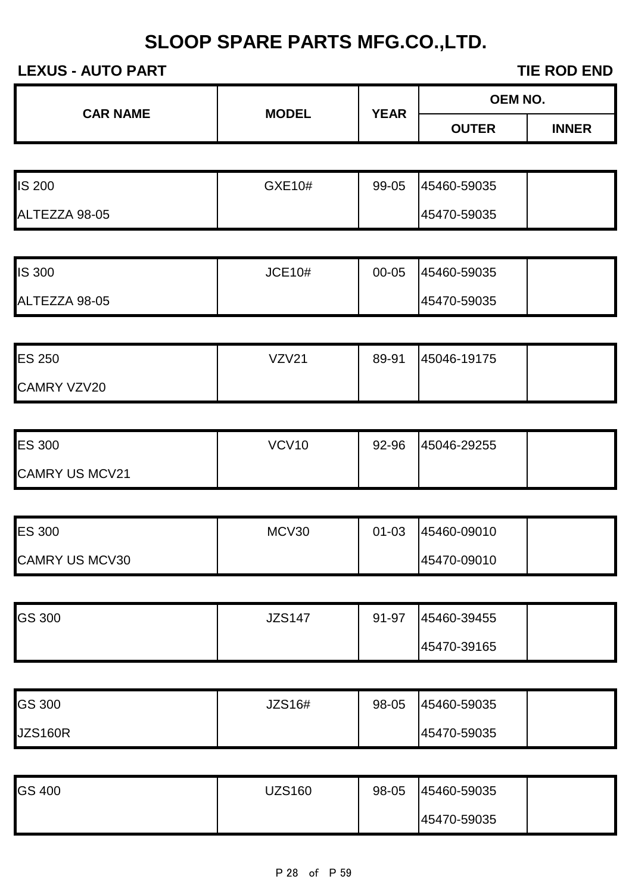#### **LEXUS - AUTO PART TIE ROD END**

| LEAUS - AUTU FART | <b>TIE RUD END</b> |             |                |              |
|-------------------|--------------------|-------------|----------------|--------------|
| <b>CAR NAME</b>   |                    |             | <b>OEM NO.</b> |              |
|                   | <b>MODEL</b>       | <b>YEAR</b> | <b>OUTER</b>   | <b>INNER</b> |
|                   |                    |             |                |              |
| <b>IS 200</b>     | GXE10#             | 99-05       | 45460-59035    |              |
| ALTEZZA 98-05     |                    |             | 45470-59035    |              |
|                   |                    |             |                |              |
| <b>IS 300</b>     | <b>JCE10#</b>      | 00-05       | 45460-59035    |              |
| ALTEZZA 98-05     |                    |             | 45470-59035    |              |
|                   |                    |             |                |              |
|                   |                    |             |                |              |

| <b>ES 250</b>      | VZV21 | 89-91 | 45046-19175 |  |
|--------------------|-------|-------|-------------|--|
| <b>CAMRY VZV20</b> |       |       |             |  |

| <b>ES 300</b>         | VCV10 | 92-96 | 45046-29255 |  |
|-----------------------|-------|-------|-------------|--|
| <b>CAMRY US MCV21</b> |       |       |             |  |

| <b>ES 300</b>         | MCV30 | $01 - 03$ | 45460-09010 |  |
|-----------------------|-------|-----------|-------------|--|
| <b>CAMRY US MCV30</b> |       |           | 45470-09010 |  |

| <b>GS 300</b> | <b>JZS147</b> | 91-97 | 45460-39455 |  |
|---------------|---------------|-------|-------------|--|
|               |               |       | 45470-39165 |  |

| <b>GS 300</b>  | <b>JZS16#</b> | 98-05 | 45460-59035 |  |
|----------------|---------------|-------|-------------|--|
| <b>JZS160R</b> |               |       | 45470-59035 |  |

| <b>GS 400</b> | UZS160 | 98-05 | 45460-59035 |  |
|---------------|--------|-------|-------------|--|
|               |        |       | 45470-59035 |  |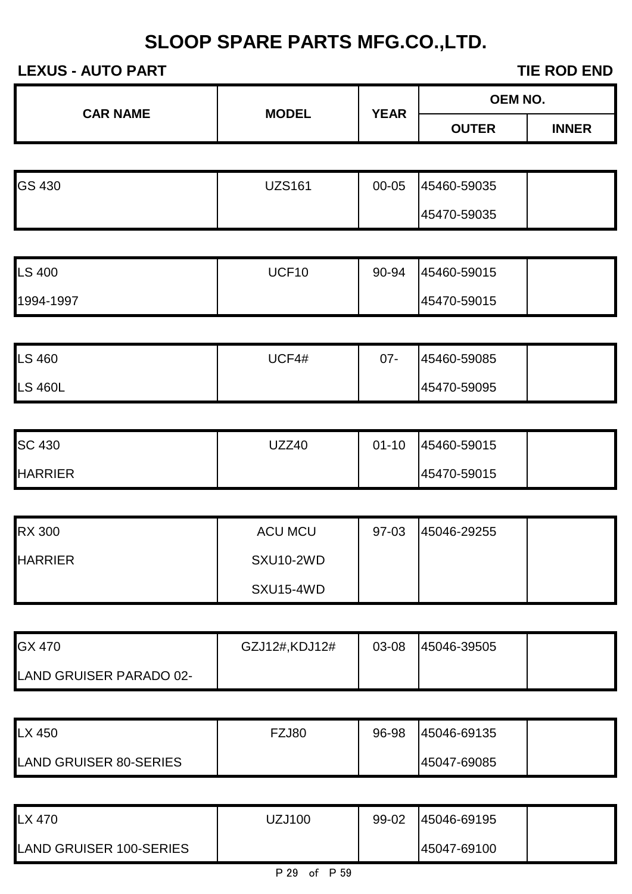| <b>LEXUS - AUTO PART</b><br><b>TIE ROD END</b> |               |        |              |                |
|------------------------------------------------|---------------|--------|--------------|----------------|
| <b>CAR NAME</b>                                | <b>MODEL</b>  |        | <b>YEAR</b>  | <b>OEM NO.</b> |
|                                                |               |        | <b>OUTER</b> | <b>INNER</b>   |
|                                                |               |        |              |                |
| GS 430                                         | <b>UZS161</b> | 00-05  | 45460-59035  |                |
|                                                |               |        | 45470-59035  |                |
|                                                |               |        |              |                |
| <b>LS 400</b>                                  | UCF10         | 90-94  | 45460-59015  |                |
| 1994-1997                                      |               |        | 45470-59015  |                |
|                                                |               |        |              |                |
| <b>LS 460</b>                                  | UCF4#         | $07 -$ | 45460-59085  |                |
| <b>LS 460L</b>                                 |               |        | 45470-59095  |                |
|                                                |               |        |              |                |

| <b>SC 430</b>  | UZZ40 | $01 - 10$ | 45460-59015 |  |
|----------------|-------|-----------|-------------|--|
| <b>HARRIER</b> |       |           | 45470-59015 |  |

| <b>RX 300</b>  | <b>ACU MCU</b> | 97-03 | 45046-29255 |  |
|----------------|----------------|-------|-------------|--|
| <b>HARRIER</b> | SXU10-2WD      |       |             |  |
|                | SXU15-4WD      |       |             |  |

| GX 470                         | GZJ12#,KDJ12# | 03-08 | 45046-39505 |  |
|--------------------------------|---------------|-------|-------------|--|
| <b>LAND GRUISER PARADO 02-</b> |               |       |             |  |

| LX 450                 | FZJ80 | 96-98 | 45046-69135 |  |
|------------------------|-------|-------|-------------|--|
| LAND GRUISER 80-SERIES |       |       | 45047-69085 |  |

| LAND GRUISER 100-SERIES |        |       | 45047-69100 |  |
|-------------------------|--------|-------|-------------|--|
|                         |        |       |             |  |
| <b>LX 470</b>           | UZJ100 | 99-02 | 45046-69195 |  |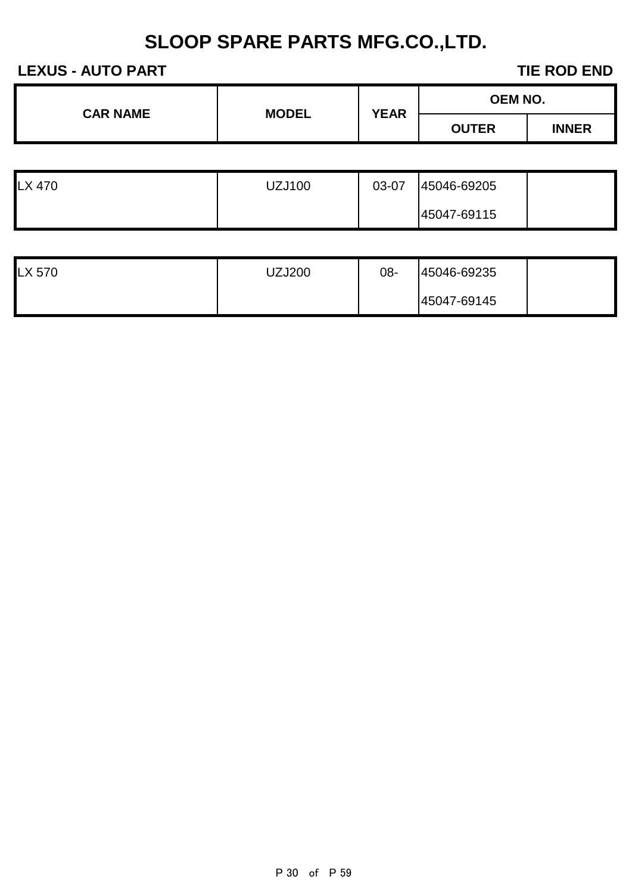#### **LEXUS - AUTO PART TIE ROD END**

|  | <b>CAR NAME</b><br><b>MODEL</b> | <b>YEAR</b> | <b>OEM NO.</b> |              |
|--|---------------------------------|-------------|----------------|--------------|
|  |                                 |             | <b>OUTER</b>   | <b>INNER</b> |
|  |                                 |             |                |              |

| LX 470 | <b>UZJ100</b> | 03-07 | 45046-69205 |  |
|--------|---------------|-------|-------------|--|
|        |               |       | 45047-69115 |  |

| LX 570 | UZJ200 | 08- | 45046-69235 |  |
|--------|--------|-----|-------------|--|
|        |        |     | 45047-69145 |  |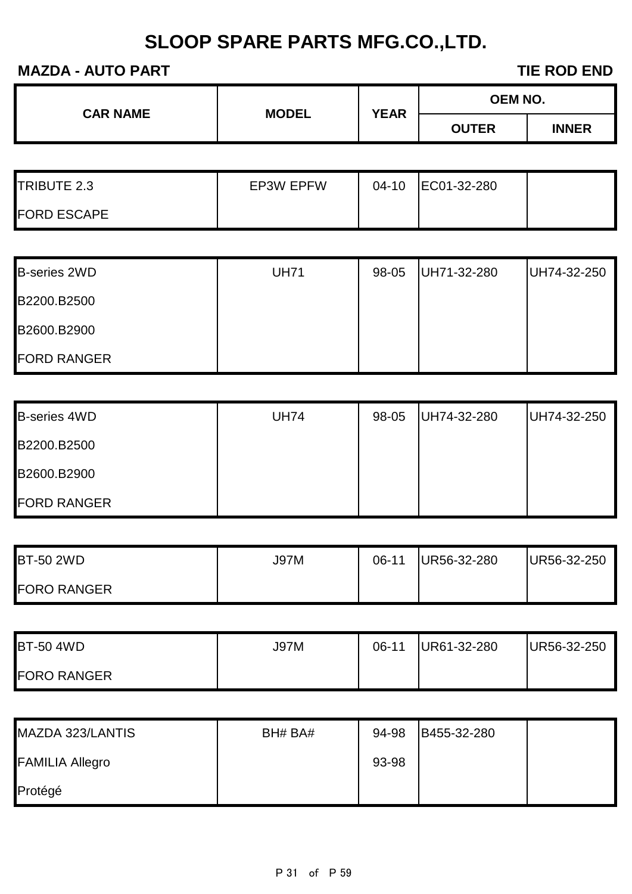### **MAZDA - AUTO PART TIE ROD END**

| <b>CAR NAME</b> |              | <b>YEAR</b> | <b>OEM NO.</b> |              |
|-----------------|--------------|-------------|----------------|--------------|
|                 | <b>MODEL</b> |             | <b>OUTER</b>   | <b>INNER</b> |

| TRIBUTE 2.3        | <b>EP3W EPFW</b> | $04-10$ | EC01-32-280 |  |
|--------------------|------------------|---------|-------------|--|
| <b>FORD ESCAPE</b> |                  |         |             |  |

| <b>B-series 2WD</b> | <b>UH71</b> | 98-05 | UH71-32-280 | UH74-32-250 |
|---------------------|-------------|-------|-------------|-------------|
| B2200.B2500         |             |       |             |             |
| B2600.B2900         |             |       |             |             |
| <b>FORD RANGER</b>  |             |       |             |             |

| <b>B-series 4WD</b> | <b>UH74</b> | 98-05 | UH74-32-280 | UH74-32-250 |
|---------------------|-------------|-------|-------------|-------------|
| B2200.B2500         |             |       |             |             |
| B2600.B2900         |             |       |             |             |
| <b>FORD RANGER</b>  |             |       |             |             |

| <b>BT-50 2WD</b>   | <b>J97M</b> | 06-11 | UR56-32-280 | UR56-32-250 |
|--------------------|-------------|-------|-------------|-------------|
| <b>FORO RANGER</b> |             |       |             |             |

| <b>BT-50 4WD</b>   | <b>J97M</b> | 06-11 | UR61-32-280 | UR56-32-250 |
|--------------------|-------------|-------|-------------|-------------|
| <b>FORO RANGER</b> |             |       |             |             |

| MAZDA 323/LANTIS       | BH# BA# | 94-98 | B455-32-280 |  |
|------------------------|---------|-------|-------------|--|
| <b>FAMILIA Allegro</b> |         | 93-98 |             |  |
| Protégé                |         |       |             |  |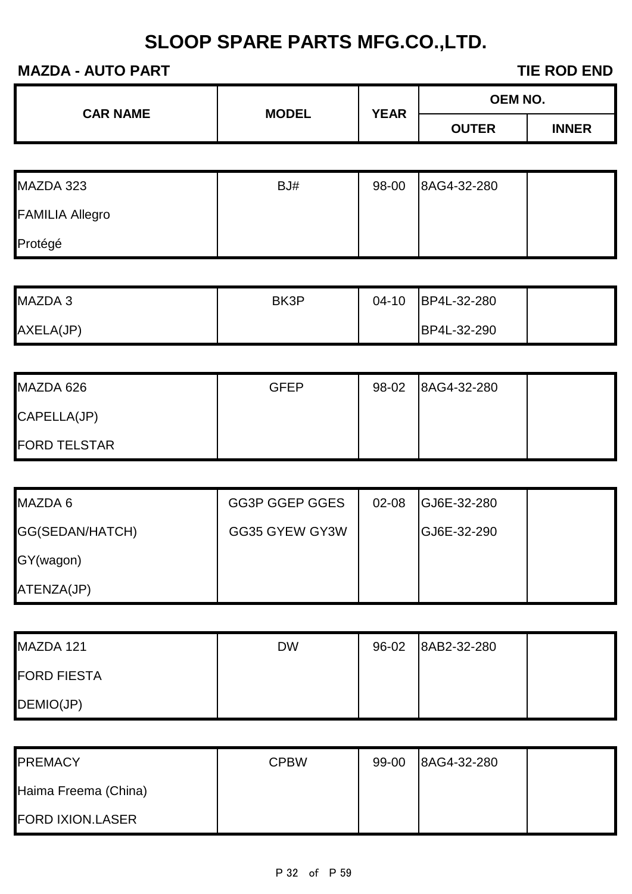#### **MAZDA - AUTO PART TIE ROD END**

| <b>CAR NAME</b> |              |             | <b>OEM NO.</b> |              |
|-----------------|--------------|-------------|----------------|--------------|
|                 | <b>MODEL</b> | <b>YEAR</b> | <b>OUTER</b>   | <b>INNER</b> |

| MAZDA 323              | BJ# | 98-00 | 8AG4-32-280 |  |
|------------------------|-----|-------|-------------|--|
| <b>FAMILIA Allegro</b> |     |       |             |  |
| Protégé                |     |       |             |  |

| MAZDA 3   | BK3P | $04-10$ | BP4L-32-280        |  |
|-----------|------|---------|--------------------|--|
| AXELA(JP) |      |         | <b>BP4L-32-290</b> |  |

| MAZDA 626           | <b>GFEP</b> | 98-02 | 8AG4-32-280 |  |
|---------------------|-------------|-------|-------------|--|
| CAPELLA(JP)         |             |       |             |  |
| <b>FORD TELSTAR</b> |             |       |             |  |

| MAZDA 6         | <b>GG3P GGEP GGES</b> | 02-08 | GJ6E-32-280 |  |
|-----------------|-----------------------|-------|-------------|--|
| GG(SEDAN/HATCH) | GG35 GYEW GY3W        |       | GJ6E-32-290 |  |
| GY(wagon)       |                       |       |             |  |
| ATENZA(JP)      |                       |       |             |  |

| MAZDA 121          | <b>DW</b> | 96-02 | 8AB2-32-280 |  |
|--------------------|-----------|-------|-------------|--|
| <b>FORD FIESTA</b> |           |       |             |  |
| DEMIO(JP)          |           |       |             |  |

| <b>PREMACY</b>          | <b>CPBW</b> | 99-00 | 8AG4-32-280 |  |
|-------------------------|-------------|-------|-------------|--|
| Haima Freema (China)    |             |       |             |  |
| <b>FORD IXION.LASER</b> |             |       |             |  |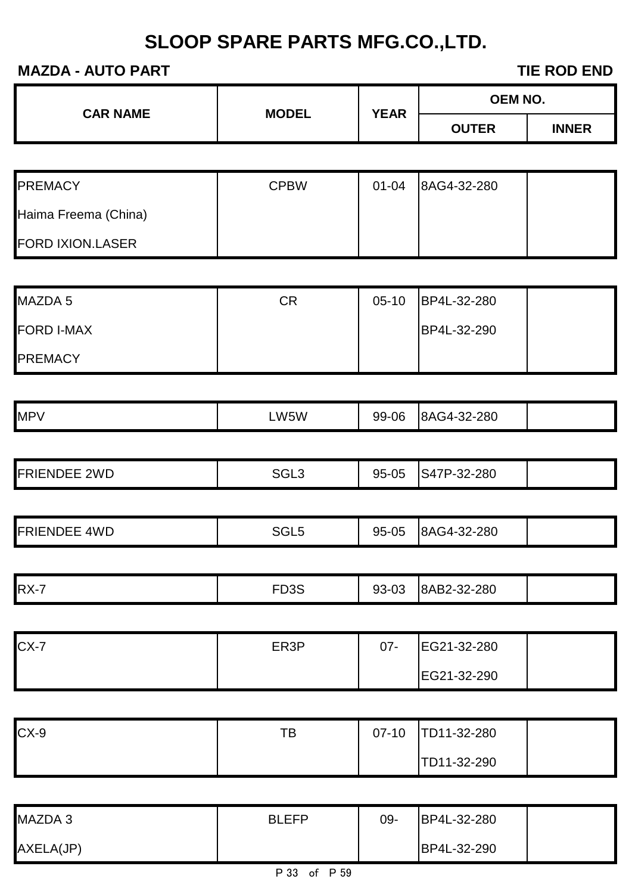**CAR NAME MODEL YEAR**

### **MAZDA - AUTO PART TIE ROD END**

**OEM NO.**

|                      |                   |           | <b>OUTER</b> | <b>INNER</b> |
|----------------------|-------------------|-----------|--------------|--------------|
|                      |                   |           |              |              |
| <b>PREMACY</b>       | <b>CPBW</b>       | $01 - 04$ | 8AG4-32-280  |              |
| Haima Freema (China) |                   |           |              |              |
| FORD IXION.LASER     |                   |           |              |              |
|                      |                   |           |              |              |
| MAZDA 5              | ${\sf CR}$        | $05-10$   | BP4L-32-280  |              |
| <b>FORD I-MAX</b>    |                   |           | BP4L-32-290  |              |
| <b>PREMACY</b>       |                   |           |              |              |
|                      |                   |           |              |              |
| <b>MPV</b>           | LW5W              | 99-06     | 8AG4-32-280  |              |
|                      |                   |           |              |              |
| <b>FRIENDEE 2WD</b>  | SGL <sub>3</sub>  | 95-05     | S47P-32-280  |              |
|                      |                   |           |              |              |
| <b>FRIENDEE 4WD</b>  | SGL <sub>5</sub>  | 95-05     | 8AG4-32-280  |              |
|                      |                   |           |              |              |
| $RX-7$               | FD <sub>3</sub> S | 93-03     | 8AB2-32-280  |              |
|                      |                   |           |              |              |
| $CX-7$               | ER3P              | $07 -$    | EG21-32-280  |              |
|                      |                   |           | EG21-32-290  |              |
|                      |                   |           |              |              |
| $CX-9$               | TB                | $07-10$   | TD11-32-280  |              |
|                      |                   |           | TD11-32-290  |              |
|                      |                   |           |              |              |
| MAZDA 3              | <b>BLEFP</b>      | 09-       | BP4L-32-280  |              |
| AXELA(JP)            |                   |           | BP4L-32-290  |              |
|                      | P 33 of P 59      |           |              |              |
|                      |                   |           |              |              |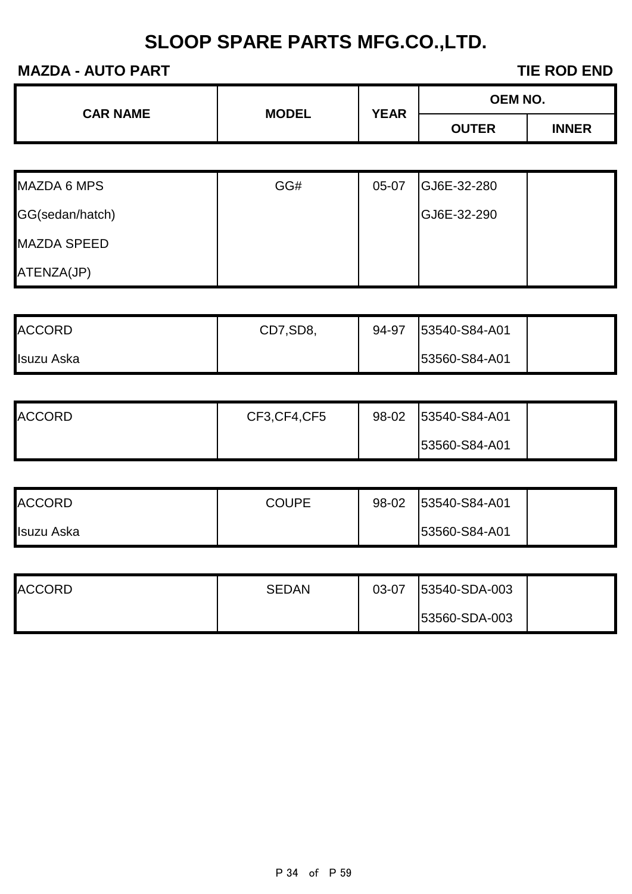### **MAZDA - AUTO PART TIE ROD END**

ATENZA(JP)

| <b>CAR NAME</b>    |              | <b>OEM NO.</b><br><b>YEAR</b><br><b>OUTER</b> |             |              |
|--------------------|--------------|-----------------------------------------------|-------------|--------------|
|                    | <b>MODEL</b> |                                               |             | <b>INNER</b> |
|                    |              |                                               |             |              |
| <b>MAZDA 6 MPS</b> | GG#          | $05-07$                                       | GJ6E-32-280 |              |
| GG(sedan/hatch)    |              |                                               | GJ6E-32-290 |              |
| <b>MAZDA SPEED</b> |              |                                               |             |              |

| <b>ACCORD</b> | CD7,SD8, | 94-97 | 53540-S84-A01 |  |
|---------------|----------|-------|---------------|--|
| Isuzu Aska    |          |       | 53560-S84-A01 |  |

| <b>ACCORD</b> | CF3,CF4,CF5 | 98-02 | 53540-S84-A01 |  |
|---------------|-------------|-------|---------------|--|
|               |             |       | 53560-S84-A01 |  |

| <b>ACCORD</b> | <b>COUPE</b> | 98-02 | 53540-S84-A01 |  |
|---------------|--------------|-------|---------------|--|
| Isuzu Aska    |              |       | 53560-S84-A01 |  |

| <b>ACCORD</b> | <b>SEDAN</b> | 03-07 | 53540-SDA-003 |  |
|---------------|--------------|-------|---------------|--|
|               |              |       | 53560-SDA-003 |  |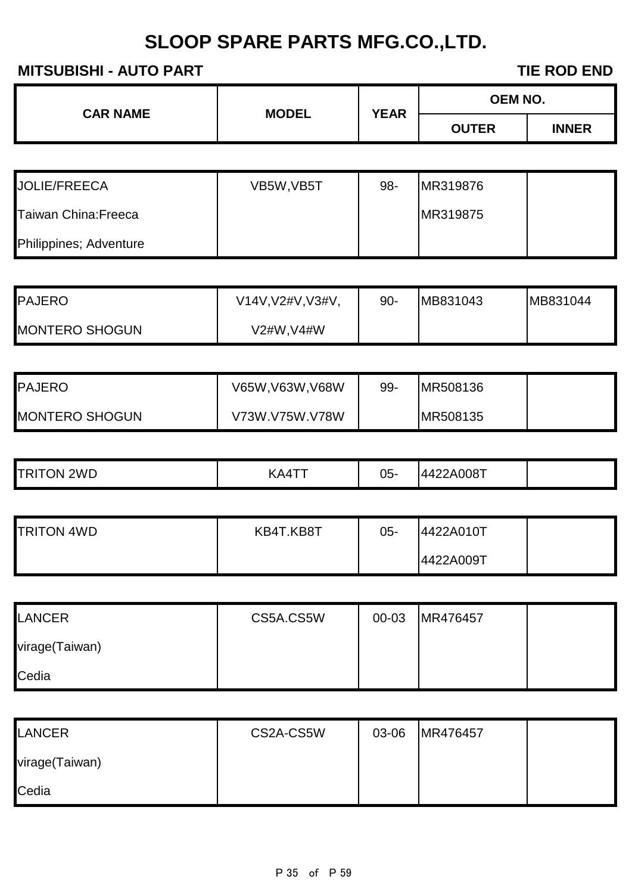| <b>CAR NAME</b>     | <b>MODEL</b> | <b>YEAR</b> | OEM NO.      |              |
|---------------------|--------------|-------------|--------------|--------------|
|                     |              |             | <b>OUTER</b> | <b>INNER</b> |
|                     |              |             |              |              |
| <b>JOLIE/FREECA</b> | VB5W, VB5T   | 98-         | MR319876     |              |

| <b>Taiwan China: Freeca</b> |  | MR319875 |  |
|-----------------------------|--|----------|--|
| Philippines; Adventure      |  |          |  |

| <b>PAJERO</b>         | V14V, V2#V, V3#V, | 90- | MB831043 | MB831044 |
|-----------------------|-------------------|-----|----------|----------|
| <b>MONTERO SHOGUN</b> | V2#W.V4#W         |     |          |          |

| <b>PAJERO</b>         | V65W,V63W,V68W | 99- | MR508136 |  |
|-----------------------|----------------|-----|----------|--|
|                       |                |     |          |  |
| <b>MONTERO SHOGUN</b> | V73W.V75W.V78W |     | MR508135 |  |

|  | י הדי<br>2WD<br>ЭN<br>н. | ΔД | $05 -$ | $\angle$ A008T<br>144 |  |
|--|--------------------------|----|--------|-----------------------|--|
|--|--------------------------|----|--------|-----------------------|--|

| <b>TRITON 4WD</b> | KB4T.KB8T | 05- | 4422A010T |  |
|-------------------|-----------|-----|-----------|--|
|                   |           |     | 4422A009T |  |

| <b>LANCER</b>  | CS5A.CS5W | 00-03 | MR476457 |  |
|----------------|-----------|-------|----------|--|
| virage(Taiwan) |           |       |          |  |
| Cedia          |           |       |          |  |

| <b>LANCER</b>  | CS2A-CS5W | 03-06 | MR476457 |  |
|----------------|-----------|-------|----------|--|
| virage(Taiwan) |           |       |          |  |
| Cedia          |           |       |          |  |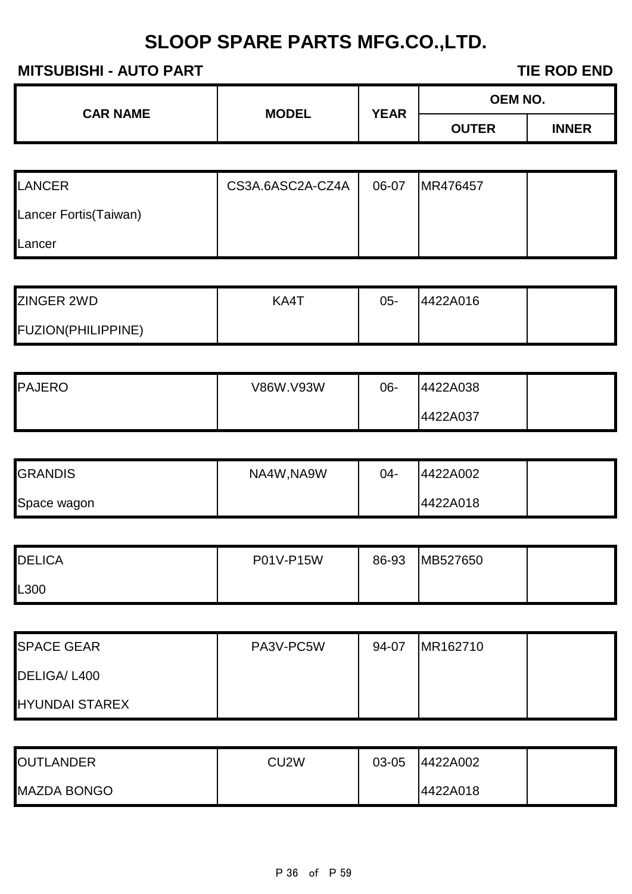|  | <b>YEAR</b><br><b>CAR NAME</b><br><b>MODEL</b> | <b>OEM NO.</b> |              |
|--|------------------------------------------------|----------------|--------------|
|  |                                                | <b>OUTER</b>   | <b>INNER</b> |

| LANCER                | CS3A.6ASC2A-CZ4A | 06-07 | MR476457 |  |
|-----------------------|------------------|-------|----------|--|
| Lancer Fortis(Taiwan) |                  |       |          |  |
| Lancer                |                  |       |          |  |

| <b>ZINGER 2WD</b>         | KA4T | 05- | 4422A016 |  |
|---------------------------|------|-----|----------|--|
| <b>FUZION(PHILIPPINE)</b> |      |     |          |  |

| <b>PAJERO</b> | V86W.V93W | 06- | 4422A038 |  |
|---------------|-----------|-----|----------|--|
|               |           |     | 4422A037 |  |

| <b>GRANDIS</b> | NA4W, NA9W | 04- | 4422A002 |  |
|----------------|------------|-----|----------|--|
| Space wagon    |            |     | 4422A018 |  |

| <b>DELICA</b> | P01V-P15W | 86-93 | MB527650 |  |
|---------------|-----------|-------|----------|--|
| L300          |           |       |          |  |

| <b>SPACE GEAR</b>     | PA3V-PC5W | 94-07 | MR162710 |  |
|-----------------------|-----------|-------|----------|--|
| DELIGA/L400           |           |       |          |  |
| <b>HYUNDAI STAREX</b> |           |       |          |  |

| <b>OUTLANDER</b>   | CU2W | 03-05 | 4422A002 |  |
|--------------------|------|-------|----------|--|
| <b>MAZDA BONGO</b> |      |       | 4422A018 |  |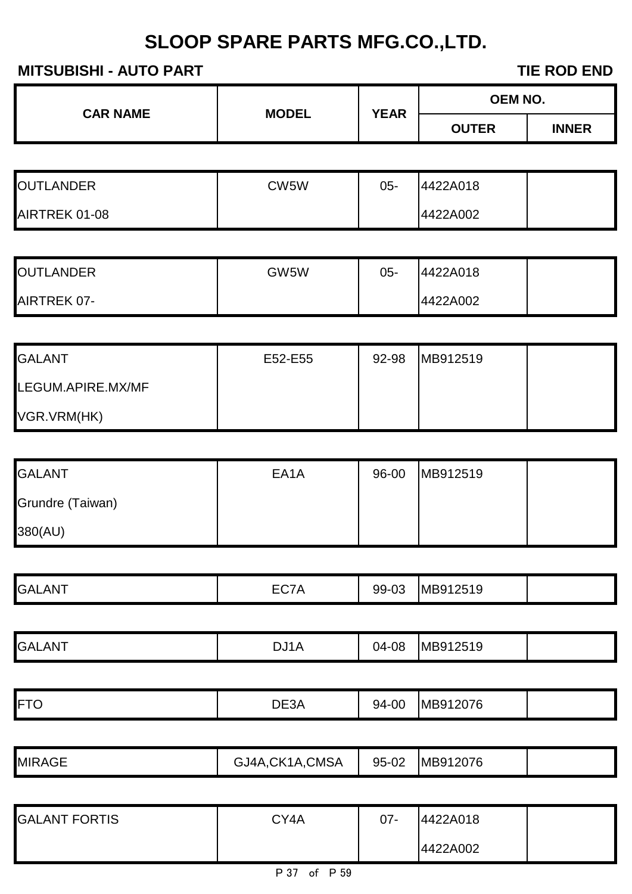| <b>OEM NO.</b> |              |
|----------------|--------------|
| <b>OUTER</b>   | <b>INNER</b> |
|                |              |
| 4422A018       |              |
| 4422A002       |              |
|                |              |
| 4422A018       |              |
| 4422A002       |              |
|                |              |
| MB912519       |              |
|                |              |
|                |              |
|                |              |
| MB912519       |              |
|                |              |
|                |              |
|                |              |
| MB912519       |              |
|                |              |
| MB912519       |              |
|                |              |
| MB912076       |              |
|                |              |
| MB912076       |              |
|                |              |
| 4422A018       |              |
| 4422A002       |              |
|                |              |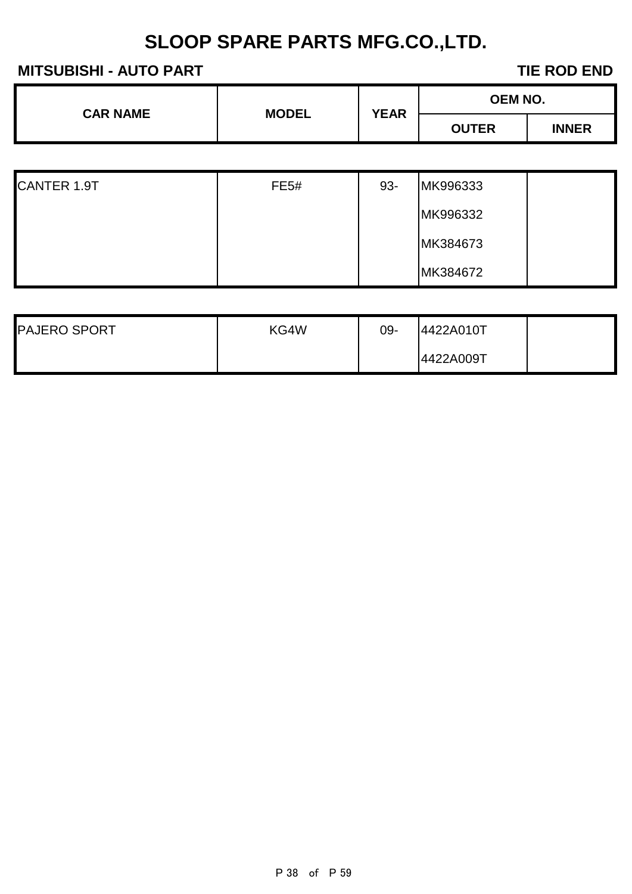| <b>CAR NAME</b>    |             | <b>MODEL</b><br><b>YEAR</b> | OEM NO.      |              |
|--------------------|-------------|-----------------------------|--------------|--------------|
|                    |             |                             | <b>OUTER</b> | <b>INNER</b> |
|                    |             |                             |              |              |
| <b>CANTER 1.9T</b> | <b>FE5#</b> | 93-                         | MK996333     |              |
|                    |             |                             | MK996332     |              |
|                    |             |                             | MK384673     |              |
|                    |             |                             | MK384672     |              |
|                    |             |                             |              |              |

| <b>PAJERO SPORT</b> | KG4W | 09- | 4422A010T |  |
|---------------------|------|-----|-----------|--|
|                     |      |     | 4422A009T |  |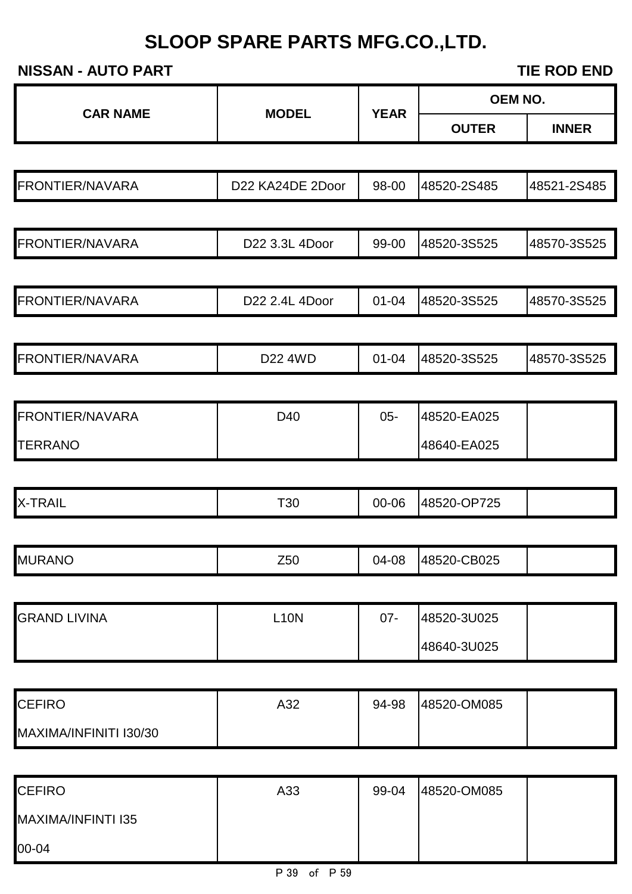#### **NISSAN - AUTO PART TIE ROD END**

00-04

|                        |                  |             |              | <b>OEM NO.</b> |
|------------------------|------------------|-------------|--------------|----------------|
| <b>CAR NAME</b>        | <b>MODEL</b>     | <b>YEAR</b> | <b>OUTER</b> | <b>INNER</b>   |
|                        |                  |             |              |                |
| FRONTIER/NAVARA        | D22 KA24DE 2Door | 98-00       | 48520-2S485  | 48521-2S485    |
|                        |                  |             |              |                |
| <b>FRONTIER/NAVARA</b> | D22 3.3L 4Door   | 99-00       | 48520-3S525  | 48570-3S525    |
| <b>FRONTIER/NAVARA</b> | D22 2.4L 4Door   | $01 - 04$   | 48520-3S525  | 48570-3S525    |
|                        |                  |             |              |                |
| <b>FRONTIER/NAVARA</b> | D22 4WD          | $01 - 04$   | 48520-3S525  | 48570-3S525    |
|                        |                  |             |              |                |
| <b>FRONTIER/NAVARA</b> | D40              | $05 -$      | 48520-EA025  |                |
| <b>TERRANO</b>         |                  |             | 48640-EA025  |                |
|                        |                  |             |              |                |
| <b>X-TRAIL</b>         | T30              | 00-06       | 48520-OP725  |                |
| <b>MURANO</b>          | Z50              | 04-08       | 48520-CB025  |                |
|                        |                  |             |              |                |
| <b>GRAND LIVINA</b>    | <b>L10N</b>      | $07 -$      | 48520-3U025  |                |
|                        |                  |             | 48640-3U025  |                |
|                        |                  |             |              |                |
| <b>CEFIRO</b>          | A32              | 94-98       | 48520-OM085  |                |
| MAXIMA/INFINITI I30/30 |                  |             |              |                |
| <b>CEFIRO</b>          | A33              | 99-04       | 48520-OM085  |                |
| MAXIMA/INFINTI I35     |                  |             |              |                |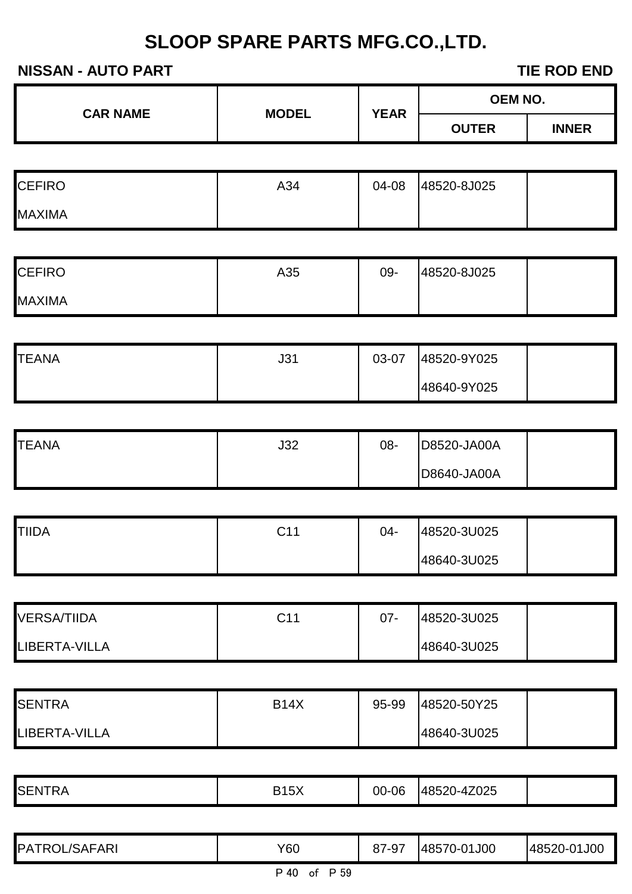### **NISSAN - AUTO PART TIE ROD END**

Г

| <b>CAR NAME</b>    |              |             | OEM NO.      |              |
|--------------------|--------------|-------------|--------------|--------------|
|                    | <b>MODEL</b> | <b>YEAR</b> | <b>OUTER</b> | <b>INNER</b> |
|                    |              |             |              |              |
| <b>CEFIRO</b>      | A34          | 04-08       | 48520-8J025  |              |
| <b>MAXIMA</b>      |              |             |              |              |
|                    |              |             |              |              |
| <b>CEFIRO</b>      | A35          | 09-         | 48520-8J025  |              |
| <b>MAXIMA</b>      |              |             |              |              |
| <b>TEANA</b>       | J31          | 03-07       | 48520-9Y025  |              |
|                    |              |             | 48640-9Y025  |              |
|                    |              |             |              |              |
| <b>TEANA</b>       | J32          | 08-         | D8520-JA00A  |              |
|                    |              |             | D8640-JA00A  |              |
|                    |              |             |              |              |
| <b>TIIDA</b>       | C11          | $04-$       | 48520-3U025  |              |
|                    |              |             | 48640-3U025  |              |
| <b>VERSA/TIIDA</b> | C11          | $07 -$      | 48520-3U025  |              |
| LIBERTA-VILLA      |              |             | 48640-3U025  |              |
|                    |              |             |              |              |
| <b>SENTRA</b>      | <b>B14X</b>  | 95-99       | 48520-50Y25  |              |
| LIBERTA-VILLA      |              |             | 48640-3U025  |              |
|                    |              |             |              |              |
| <b>SENTRA</b>      | <b>B15X</b>  | 00-06       | 48520-4Z025  |              |
| PATROL/SAFARI      | Y60          | 87-97       | 48570-01J00  | 48520-01J00  |
|                    | P 40 of P 59 |             |              |              |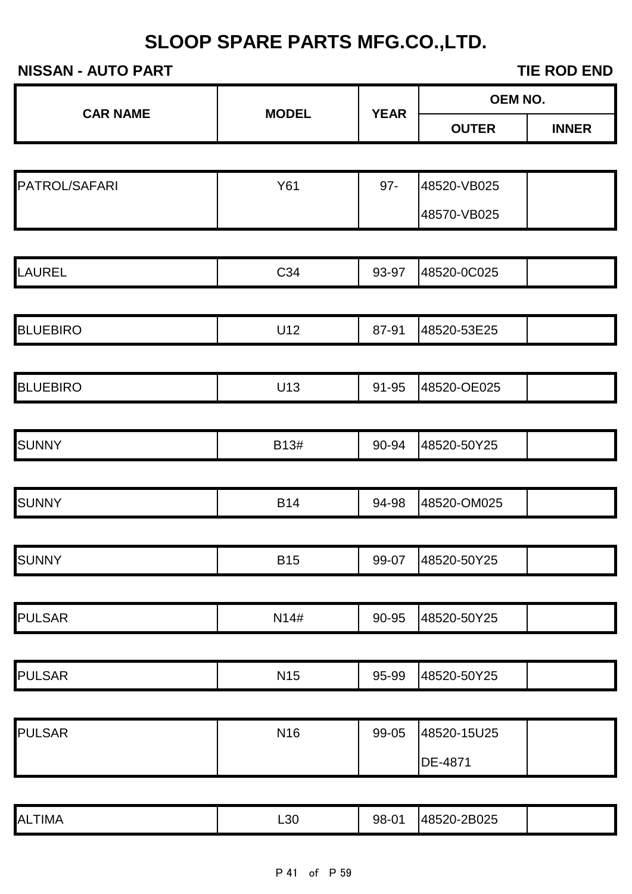#### **NISSAN - AUTO PART TIE ROD END**

|                 |                 |             | OEM NO.      |              |
|-----------------|-----------------|-------------|--------------|--------------|
| <b>CAR NAME</b> | <b>MODEL</b>    | <b>YEAR</b> | <b>OUTER</b> | <b>INNER</b> |
|                 |                 |             |              |              |
| PATROL/SAFARI   | Y61             | $97 -$      | 48520-VB025  |              |
|                 |                 |             | 48570-VB025  |              |
|                 |                 |             |              |              |
| <b>LAUREL</b>   | C34             | 93-97       | 48520-0C025  |              |
|                 |                 |             |              |              |
| <b>BLUEBIRO</b> | U12             | 87-91       | 48520-53E25  |              |
|                 |                 |             |              |              |
| <b>BLUEBIRO</b> | U13             | 91-95       | 48520-OE025  |              |
|                 |                 |             |              |              |
| <b>SUNNY</b>    | B13#            | 90-94       | 48520-50Y25  |              |
|                 |                 |             |              |              |
| <b>SUNNY</b>    | <b>B14</b>      | 94-98       | 48520-OM025  |              |
|                 |                 |             |              |              |
| SUNNY           | <b>B15</b>      | 99-07       | 48520-50Y25  |              |
|                 |                 |             |              |              |
| <b>PULSAR</b>   | N14#            | 90-95       | 48520-50Y25  |              |
|                 |                 |             |              |              |
| <b>PULSAR</b>   | N <sub>15</sub> | 95-99       | 48520-50Y25  |              |
|                 |                 |             |              |              |
| <b>PULSAR</b>   | N <sub>16</sub> | 99-05       | 48520-15U25  |              |
|                 |                 |             | DE-4871      |              |
|                 |                 |             |              |              |

ALTIMA 20 28-01 230 28-01 28520-28025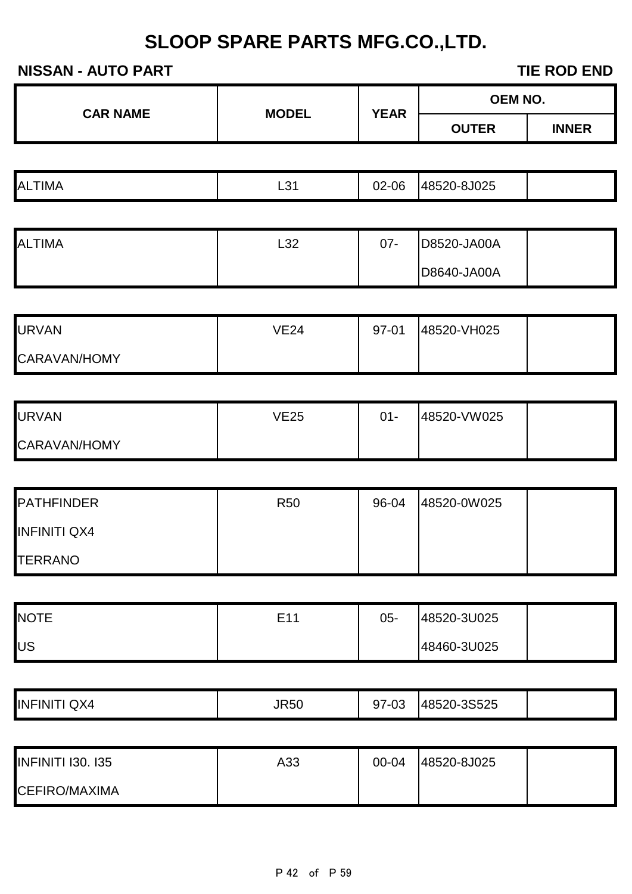### **NISSAN - AUTO PART TIE ROD END**

**OEM NO.**

|                          | <b>MODEL</b> | <b>YEAR</b>  |              |  |
|--------------------------|--------------|--------------|--------------|--|
| <b>CAR NAME</b>          |              | <b>OUTER</b> | <b>INNER</b> |  |
|                          |              |              |              |  |
| <b>ALTIMA</b>            | L31          | 02-06        | 48520-8J025  |  |
|                          |              |              |              |  |
| <b>ALTIMA</b>            | L32          | $07 -$       | D8520-JA00A  |  |
|                          |              |              | D8640-JA00A  |  |
|                          |              |              |              |  |
| <b>URVAN</b>             | <b>VE24</b>  | 97-01        | 48520-VH025  |  |
| CARAVAN/HOMY             |              |              |              |  |
|                          |              |              |              |  |
| <b>URVAN</b>             | <b>VE25</b>  | $01 -$       | 48520-VW025  |  |
| CARAVAN/HOMY             |              |              |              |  |
|                          |              |              |              |  |
| <b>PATHFINDER</b>        | <b>R50</b>   | 96-04        | 48520-0W025  |  |
| <b>INFINITI QX4</b>      |              |              |              |  |
| <b>TERRANO</b>           |              |              |              |  |
|                          |              |              |              |  |
| <b>NOTE</b>              | E11          | $05 -$       | 48520-3U025  |  |
| US                       |              |              | 48460-3U025  |  |
|                          |              |              |              |  |
| <b>INFINITI QX4</b>      | <b>JR50</b>  | 97-03        | 48520-3S525  |  |
|                          |              |              |              |  |
| <b>INFINITI I30. I35</b> | A33          | 00-04        | 48520-8J025  |  |
| CEFIRO/MAXIMA            |              |              |              |  |
|                          |              |              |              |  |
|                          |              |              |              |  |
|                          | P 42 of P 59 |              |              |  |
|                          |              |              |              |  |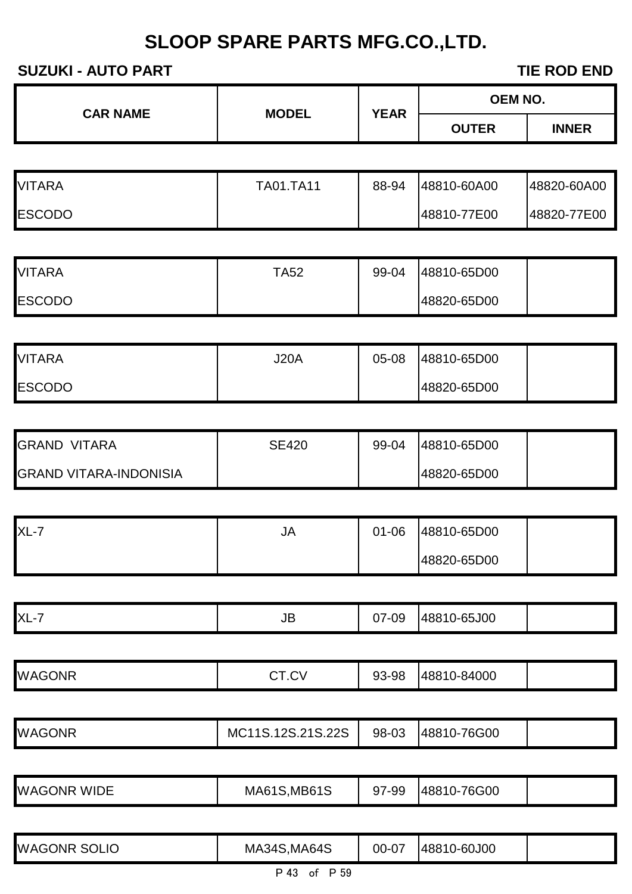|                               |                   |             | <b>OEM NO.</b> |              |  |
|-------------------------------|-------------------|-------------|----------------|--------------|--|
| <b>CAR NAME</b>               | <b>MODEL</b>      | <b>YEAR</b> | <b>OUTER</b>   | <b>INNER</b> |  |
|                               |                   |             |                |              |  |
| <b>VITARA</b>                 | TA01.TA11         | 88-94       | 48810-60A00    | 48820-60A00  |  |
| <b>ESCODO</b>                 |                   |             | 48810-77E00    | 48820-77E00  |  |
|                               |                   |             |                |              |  |
| <b>VITARA</b>                 | <b>TA52</b>       | 99-04       | 48810-65D00    |              |  |
| <b>ESCODO</b>                 |                   |             | 48820-65D00    |              |  |
|                               |                   |             |                |              |  |
| <b>VITARA</b>                 | <b>J20A</b>       | 05-08       | 48810-65D00    |              |  |
| <b>ESCODO</b>                 |                   |             | 48820-65D00    |              |  |
|                               |                   |             |                |              |  |
| <b>GRAND VITARA</b>           | <b>SE420</b>      | 99-04       | 48810-65D00    |              |  |
| <b>GRAND VITARA-INDONISIA</b> |                   |             | 48820-65D00    |              |  |
|                               |                   |             |                |              |  |
| $XL-7$                        | <b>JA</b>         | $01 - 06$   | 48810-65D00    |              |  |
|                               |                   |             | 48820-65D00    |              |  |
|                               |                   |             |                |              |  |
| $XL-7$                        | JB                | 07-09       | 48810-65J00    |              |  |
|                               |                   |             |                |              |  |
| <b>WAGONR</b>                 | CT.CV             | 93-98       | 48810-84000    |              |  |
|                               |                   |             |                |              |  |
| <b>WAGONR</b>                 | MC11S.12S.21S.22S | 98-03       | 48810-76G00    |              |  |
| <b>WAGONR WIDE</b>            | MA61S, MB61S      | 97-99       | 48810-76G00    |              |  |
|                               |                   |             |                |              |  |
| <b>WAGONR SOLIO</b>           | MA34S, MA64S      | 00-07       | 48810-60J00    |              |  |
|                               |                   |             |                |              |  |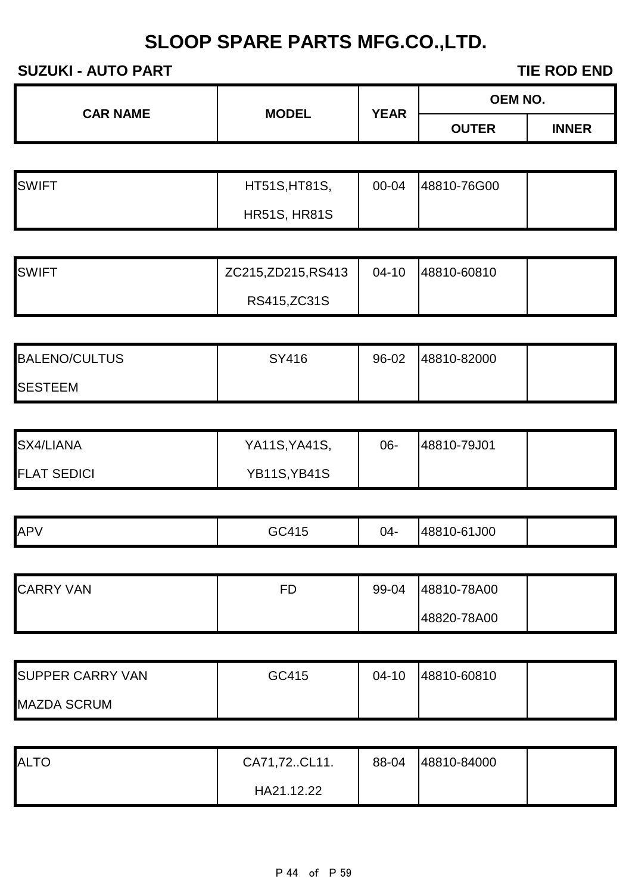| <b>CAR NAME</b> | <b>MODEL</b> | <b>YEAR</b> | <b>OEM NO.</b> |              |
|-----------------|--------------|-------------|----------------|--------------|
|                 |              |             | <b>OUTER</b>   | <b>INNER</b> |

| <b>SWIFT</b> | HT51S, HT81S,       | 00-04 | 48810-76G00 |  |
|--------------|---------------------|-------|-------------|--|
|              | <b>HR51S, HR81S</b> |       |             |  |

| <b>SWIFT</b> | ZC215, ZD215, RS413 | $04-10$ | 48810-60810 |  |
|--------------|---------------------|---------|-------------|--|
|              | RS415, ZC31S        |         |             |  |

| <b>BALENO/CULTUS</b> | SY416 | 96-02 | 48810-82000 |  |
|----------------------|-------|-------|-------------|--|
| <b>SESTEEM</b>       |       |       |             |  |

| SX4/LIANA          | YA11S, YA41S,       | 06- | 48810-79J01 |  |
|--------------------|---------------------|-----|-------------|--|
| <b>FLAT SEDICI</b> | <b>YB11S, YB41S</b> |     |             |  |

| $\cap$ $\cap$ $\land$ $\subset$<br>10-61J00<br><b>APV</b><br>$04 -$<br>14881<br>ا ۱-<br>.4<br>. . |  |  |  |
|---------------------------------------------------------------------------------------------------|--|--|--|
|                                                                                                   |  |  |  |

| <b>CARRY VAN</b> | FD | 99-04 | 48810-78A00 |  |
|------------------|----|-------|-------------|--|
|                  |    |       | 48820-78A00 |  |

| <b>SUPPER CARRY VAN</b> | GC415 | 04-10 | 48810-60810 |  |
|-------------------------|-------|-------|-------------|--|
| <b>MAZDA SCRUM</b>      |       |       |             |  |

| <b>ALTO</b> | CA71,72CL11. | 88-04 | 48810-84000 |  |
|-------------|--------------|-------|-------------|--|
|             | HA21.12.22   |       |             |  |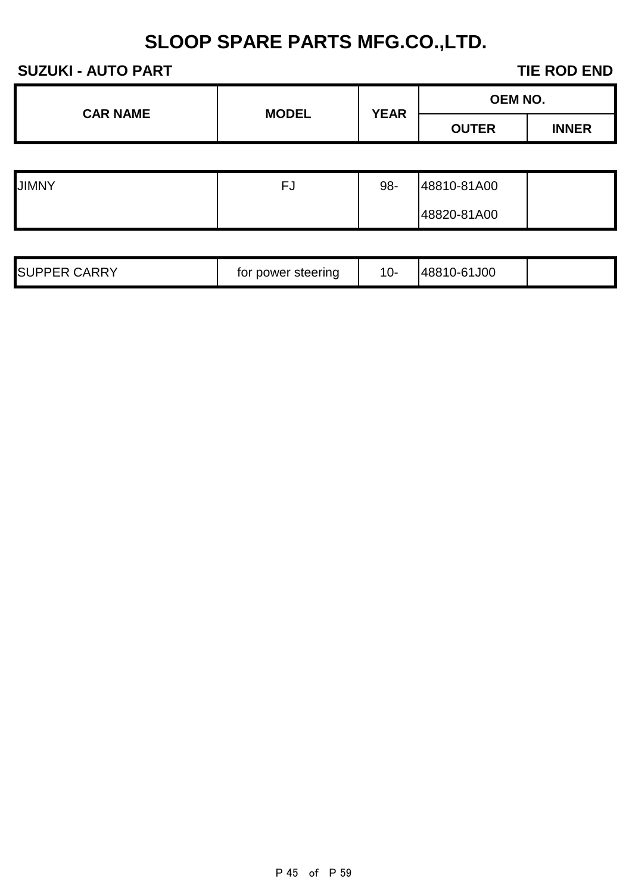| <b>CAR NAME</b> | <b>MODEL</b> | <b>YEAR</b> | <b>OEM NO.</b> |              |
|-----------------|--------------|-------------|----------------|--------------|
|                 |              |             | <b>OUTER</b>   | <b>INNER</b> |
|                 |              |             |                |              |

| <b>JIMNY</b> | -<br>-<br>് | 98- | 48810-81A00 |  |
|--------------|-------------|-----|-------------|--|
|              |             |     | 48820-81A00 |  |

| <b>SUPPER CARRY</b> | for power steering | 10- | 48810-61J00 |  |
|---------------------|--------------------|-----|-------------|--|
|---------------------|--------------------|-----|-------------|--|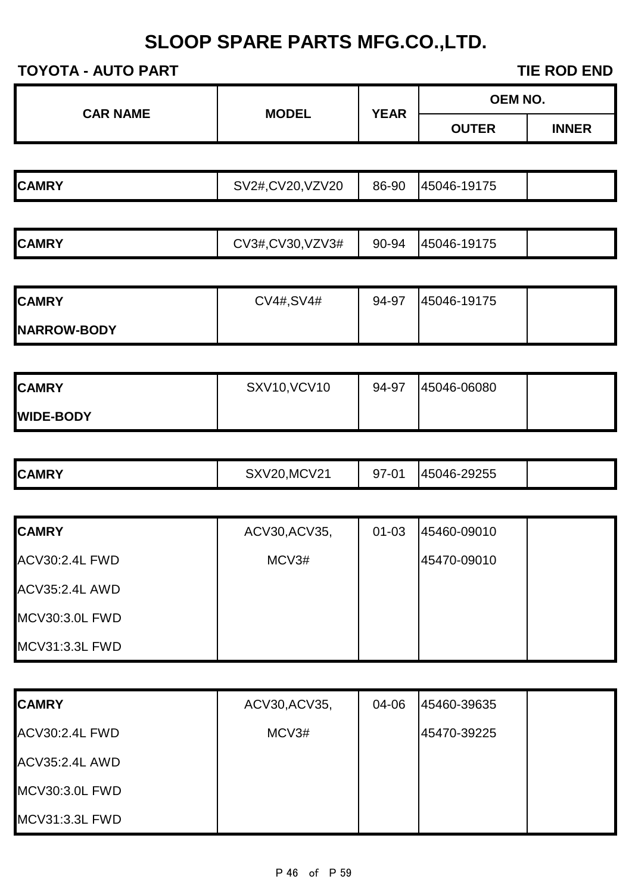| <b>CAR NAME</b> |              | <b>YEAR</b> | <b>OEM NO.</b> |              |
|-----------------|--------------|-------------|----------------|--------------|
|                 | <b>MODEL</b> |             | <b>OUTER</b>   | <b>INNER</b> |

| CV20, VZV20<br><b>CAMRY</b><br>86-90<br>-19175<br>/2#<br>45046-<br>SV. |
|------------------------------------------------------------------------|
|------------------------------------------------------------------------|

|  | <b>CAMRY</b> | CV3#, CV30, VZV3# | 90-94 | 45046-19175 |  |
|--|--------------|-------------------|-------|-------------|--|
|--|--------------|-------------------|-------|-------------|--|

| <b>CAMRY</b>       | CV4#, SV4# | 94-97 | 45046-19175 |  |
|--------------------|------------|-------|-------------|--|
| <b>NARROW-BODY</b> |            |       |             |  |

| <b>CAMRY</b>     | <b>SXV10, VCV10</b> | 94-97 | 45046-06080 |  |
|------------------|---------------------|-------|-------------|--|
| <b>WIDE-BODY</b> |                     |       |             |  |

|  | <b>CAMRY</b> | 101<br>rv.<br>، د ۱<br>MC.<br>∵.V∠.<br>∡د | $7 - 04$<br>ິ | 29255<br>l45046-2 |  |
|--|--------------|-------------------------------------------|---------------|-------------------|--|
|--|--------------|-------------------------------------------|---------------|-------------------|--|

| <b>CAMRY</b>          | ACV30, ACV35, | $01 - 03$ | 45460-09010 |  |
|-----------------------|---------------|-----------|-------------|--|
| ACV30:2.4L FWD        | MCV3#         |           | 45470-09010 |  |
| ACV35:2.4L AWD        |               |           |             |  |
| MCV30:3.0L FWD        |               |           |             |  |
| <b>MCV31:3.3L FWD</b> |               |           |             |  |

| <b>CAMRY</b>          | ACV30, ACV35, | 04-06 | 45460-39635 |  |
|-----------------------|---------------|-------|-------------|--|
| <b>ACV30:2.4L FWD</b> | MCV3#         |       | 45470-39225 |  |
| <b>ACV35:2.4L AWD</b> |               |       |             |  |
| MCV30:3.0L FWD        |               |       |             |  |
| MCV31:3.3L FWD        |               |       |             |  |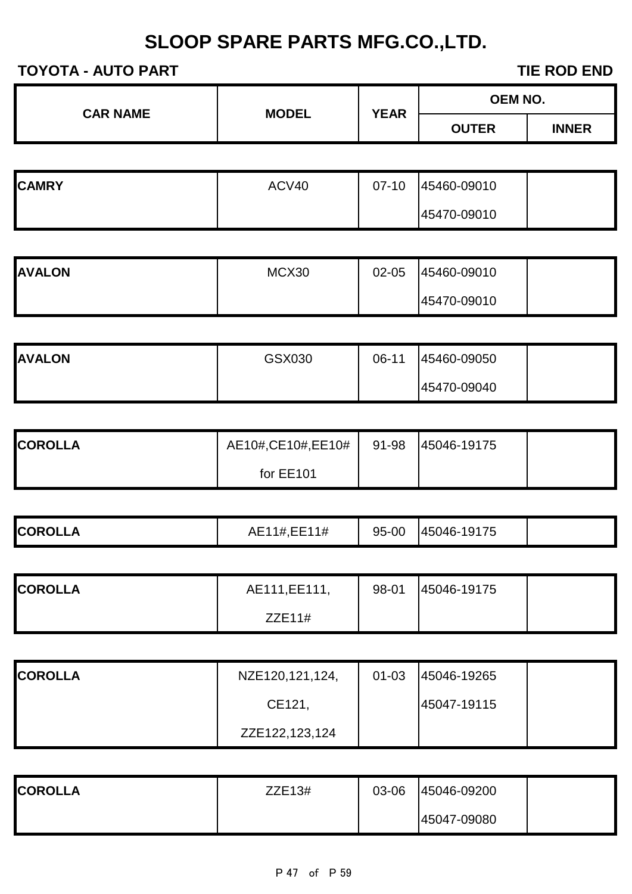| <b>CAR NAME</b> | <b>MODEL</b> | <b>YEAR</b> | <b>OEM NO.</b> |              |
|-----------------|--------------|-------------|----------------|--------------|
|                 |              |             | <b>OUTER</b>   | <b>INNER</b> |

| <b>CAMRY</b> | ACV40 | $07-10$ | 45460-09010 |  |
|--------------|-------|---------|-------------|--|
|              |       |         | 45470-09010 |  |

| <b>AVALON</b> | MCX30 | $02 - 05$ | 45460-09010 |  |
|---------------|-------|-----------|-------------|--|
|               |       |           | 45470-09010 |  |

| <b>AVALON</b> | GSX030 | 06-11 | 45460-09050 |  |
|---------------|--------|-------|-------------|--|
|               |        |       | 45470-09040 |  |

| <b>COROLLA</b> | AE10#,CE10#,EE10# | 91-98 | 45046-19175 |  |
|----------------|-------------------|-------|-------------|--|
|                | for EE101         |       |             |  |

| <b>COROLLA</b> | AE11#, EE11# | 95-00 | 45046-19175 |  |
|----------------|--------------|-------|-------------|--|
|                |              |       |             |  |

| <b>COROLLA</b> | AE111, EE111, | 98-01 | 45046-19175 |  |
|----------------|---------------|-------|-------------|--|
|                | ZZE11#        |       |             |  |

| <b>COROLLA</b> | NZE120,121,124, | $01 - 03$ | 45046-19265 |  |
|----------------|-----------------|-----------|-------------|--|
|                | CE121,          |           | 45047-19115 |  |
|                | ZZE122,123,124  |           |             |  |

| <b>COROLLA</b> | ZZE13# | 03-06 | 45046-09200 |  |
|----------------|--------|-------|-------------|--|
|                |        |       | 45047-09080 |  |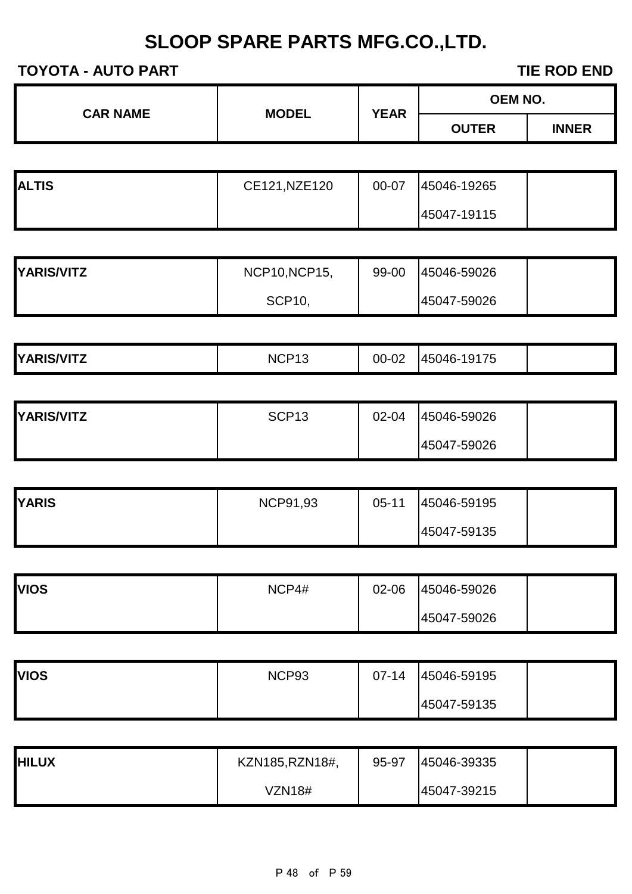|  | <b>CAR NAME</b><br><b>MODEL</b> | <b>YEAR</b> | <b>OEM NO.</b> |              |
|--|---------------------------------|-------------|----------------|--------------|
|  |                                 |             | <b>OUTER</b>   | <b>INNER</b> |
|  |                                 |             |                |              |

| <b>ALTIS</b> | CE121, NZE120 | 00-07 | 45046-19265 |  |
|--------------|---------------|-------|-------------|--|
|              |               |       | 45047-19115 |  |

| YARIS/VITZ | NCP10, NCP15, | 99-00 | 45046-59026 |  |
|------------|---------------|-------|-------------|--|
|            | <b>SCP10,</b> |       | 45047-59026 |  |

|  | YARIS/VITZ | NCP <sub>1</sub> <sup>-</sup> | 00-02 | 477<br>19175<br>145046- <b>1</b> |  |
|--|------------|-------------------------------|-------|----------------------------------|--|
|--|------------|-------------------------------|-------|----------------------------------|--|

| YARIS/VITZ | SCP <sub>13</sub> | $02 - 04$ | 45046-59026 |  |
|------------|-------------------|-----------|-------------|--|
|            |                   |           | 45047-59026 |  |

| <b>YARIS</b> | <b>NCP91,93</b> | $05 - 11$ | 45046-59195 |  |
|--------------|-----------------|-----------|-------------|--|
|              |                 |           | 45047-59135 |  |

| <b>VIOS</b> | NCP4# | $02 - 06$ | 45046-59026 |  |
|-------------|-------|-----------|-------------|--|
|             |       |           | 45047-59026 |  |

| <b>VIOS</b> | NCP93 | $07 - 14$ | 45046-59195 |  |
|-------------|-------|-----------|-------------|--|
|             |       |           | 45047-59135 |  |

| <b>HILUX</b> | KZN185,RZN18#, | 95-97 | 45046-39335 |  |
|--------------|----------------|-------|-------------|--|
|              | VZN18#         |       | 45047-39215 |  |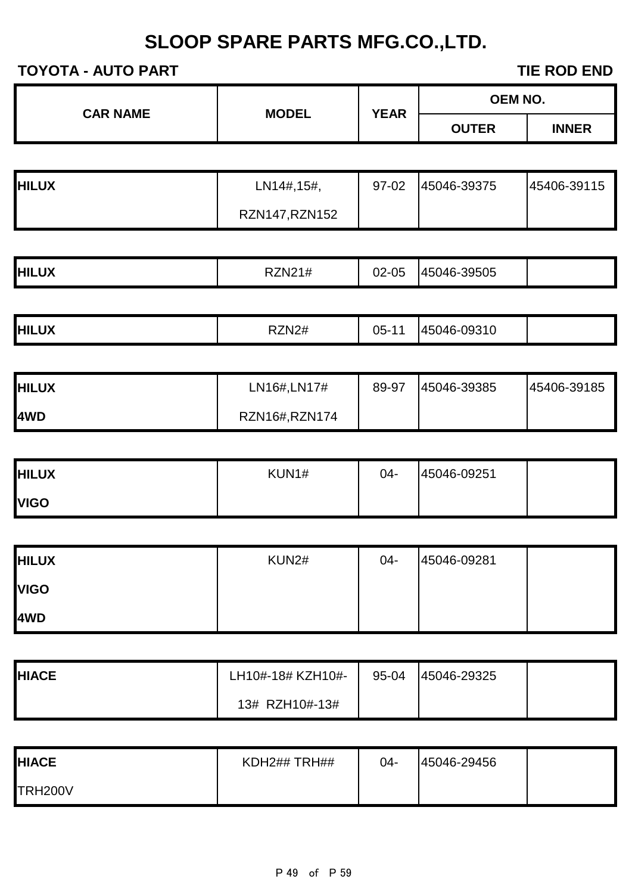| <b>CAR NAME</b> | <b>MODEL</b> | <b>YEAR</b> | <b>OEM NO.</b> |              |
|-----------------|--------------|-------------|----------------|--------------|
|                 |              |             | <b>OUTER</b>   | <b>INNER</b> |
|                 |              |             |                |              |

| <b>HILUX</b> | LN14#,15#,     | $97 - 02$ | 45046-39375 | 45406-39115 |
|--------------|----------------|-----------|-------------|-------------|
|              | RZN147, RZN152 |           |             |             |

| <b>HILUX</b> | <b>RZN21#</b><br>177 | $02 - 05$ | -39505<br> 45046- |  |
|--------------|----------------------|-----------|-------------------|--|
|--------------|----------------------|-----------|-------------------|--|

|  | <b>HILUX</b><br>RZN <sub>2#</sub><br>45046-09310<br>05- |
|--|---------------------------------------------------------|
|--|---------------------------------------------------------|

| <b>IHILUX</b> | LN16#, LN17#  | 89-97 | 45046-39385 | 45406-39185 |
|---------------|---------------|-------|-------------|-------------|
| 4WD           | RZN16#,RZN174 |       |             |             |

| <b>HILUX</b> | KUN1# | 04- | 45046-09251 |  |
|--------------|-------|-----|-------------|--|
| <b>VIGO</b>  |       |     |             |  |

| <b>HILUX</b> | KUN2# | $04 -$ | 45046-09281 |  |
|--------------|-------|--------|-------------|--|
| <b>VIGO</b>  |       |        |             |  |
| 4WD          |       |        |             |  |

| <b>HIACE</b> | LH10#-18# KZH10#- | 95-04 | 45046-29325 |  |
|--------------|-------------------|-------|-------------|--|
|              | 13# RZH10#-13#    |       |             |  |

| <b>HIACE</b> | KDH2## TRH## | 04- | 45046-29456 |  |
|--------------|--------------|-----|-------------|--|
| TRH200V      |              |     |             |  |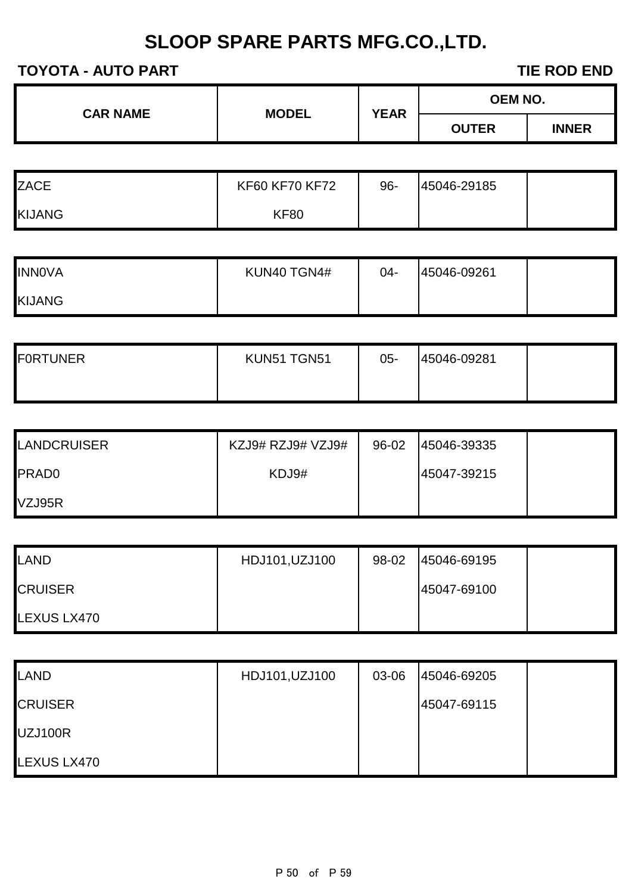| <b>CAR NAME</b> | <b>MODEL</b> | <b>YEAR</b> | <b>OEM NO.</b> |              |
|-----------------|--------------|-------------|----------------|--------------|
|                 |              |             | <b>OUTER</b>   | <b>INNER</b> |

| <b>ZACE</b>   | <b>KF60 KF70 KF72</b> | $96 -$ | 45046-29185 |  |
|---------------|-----------------------|--------|-------------|--|
| <b>KIJANG</b> | <b>KF80</b>           |        |             |  |

| <b>INNOVA</b> | KUN40 TGN4# | 04- | 45046-09261 |  |
|---------------|-------------|-----|-------------|--|
| <b>KIJANG</b> |             |     |             |  |

| FORTUNER | KUN51 TGN51 | $05 -$ | 45046-09281 |  |
|----------|-------------|--------|-------------|--|
|          |             |        |             |  |

| <b>LANDCRUISER</b> | KZJ9# RZJ9# VZJ9# | 96-02 | 45046-39335 |  |
|--------------------|-------------------|-------|-------------|--|
| <b>PRADO</b>       | KDJ9#             |       | 45047-39215 |  |
| VZJ95R             |                   |       |             |  |

| LAND           | HDJ101, UZJ100 | 98-02 | 45046-69195 |  |
|----------------|----------------|-------|-------------|--|
| <b>CRUISER</b> |                |       | 45047-69100 |  |
| LEXUS LX470    |                |       |             |  |

| LAND           | HDJ101, UZJ100 | 03-06 | 45046-69205 |
|----------------|----------------|-------|-------------|
| <b>CRUISER</b> |                |       | 45047-69115 |
| UZJ100R        |                |       |             |
| LEXUS LX470    |                |       |             |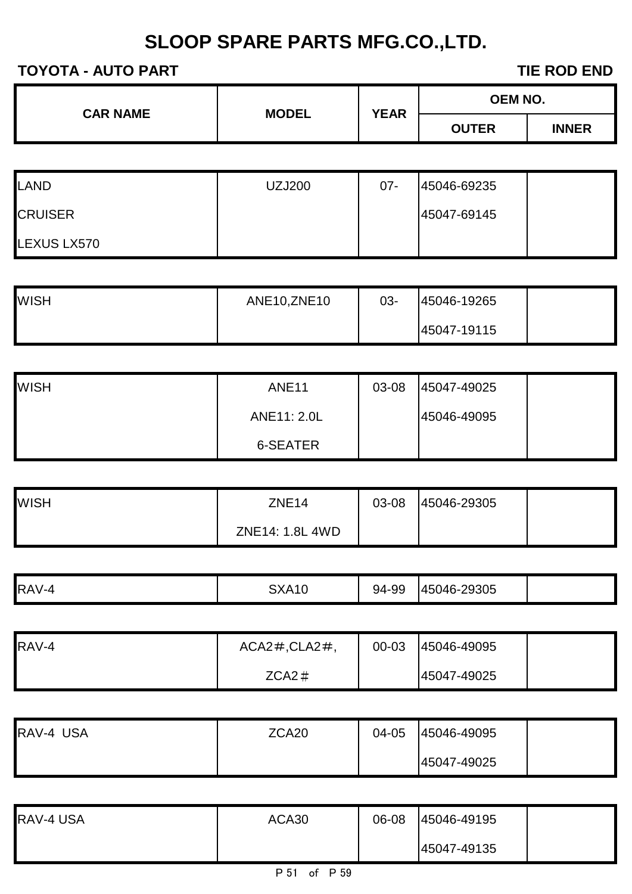| <b>CAR NAME</b> | <b>MODEL</b> | <b>YEAR</b> | <b>OEM NO.</b> |              |
|-----------------|--------------|-------------|----------------|--------------|
|                 |              |             | <b>OUTER</b>   | <b>INNER</b> |
|                 |              |             |                |              |

| LAND           | <b>UZJ200</b> | $07 -$ | 45046-69235 |  |
|----------------|---------------|--------|-------------|--|
| <b>CRUISER</b> |               |        | 45047-69145 |  |
| LEXUS LX570    |               |        |             |  |

| <b>WISH</b> | ANE10, ZNE10 | 03- | 45046-19265 |  |
|-------------|--------------|-----|-------------|--|
|             |              |     | 45047-19115 |  |

| <b>WISH</b> | ANE <sub>11</sub> | 03-08 | 45047-49025 |  |
|-------------|-------------------|-------|-------------|--|
|             | ANE11: 2.0L       |       | 45046-49095 |  |
|             | 6-SEATER          |       |             |  |

| <b>WISH</b> | ZNE <sub>14</sub> | 03-08 | 45046-29305 |  |
|-------------|-------------------|-------|-------------|--|
|             | ZNE14: 1.8L 4WD   |       |             |  |

| RAV-4<br>$\sim$ $\sim$<br>റ $\epsilon$<br>'9305<br>ப |
|------------------------------------------------------|
|------------------------------------------------------|

| RAV-4 | $ACA2\#$ , $CLA2\#$ , | 00-03 | 45046-49095 |  |
|-------|-----------------------|-------|-------------|--|
|       | $ZCA2 \#$             |       | 45047-49025 |  |

| RAV-4 USA | ZCA20 | 04-05 | 45046-49095 |  |
|-----------|-------|-------|-------------|--|
|           |       |       | 45047-49025 |  |

| RAV-4 USA | ACA30 | 06-08 | 45046-49195 |  |
|-----------|-------|-------|-------------|--|
|           |       |       | 45047-49135 |  |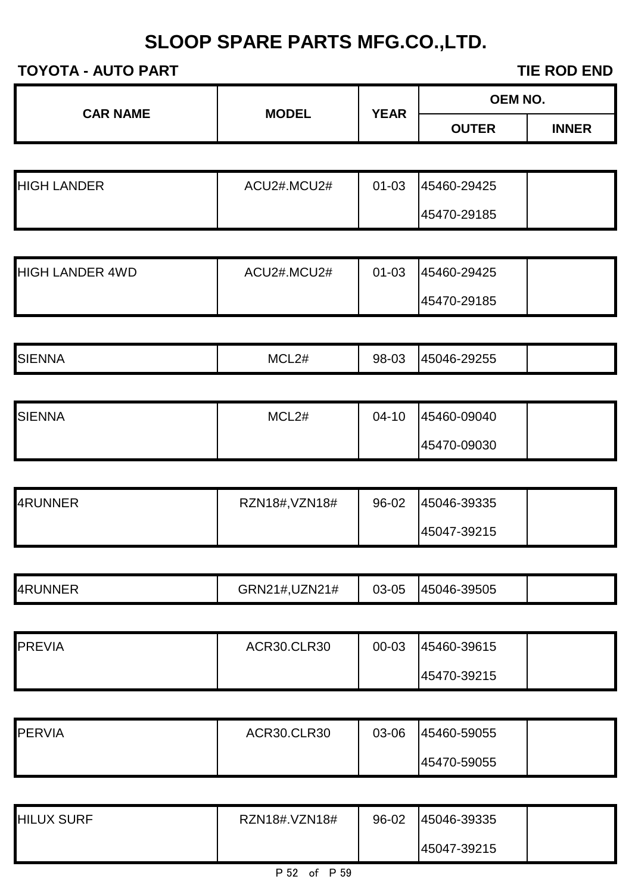|  | <b>CAR NAME</b><br><b>MODEL</b> | <b>YEAR</b> | <b>OEM NO.</b> |              |
|--|---------------------------------|-------------|----------------|--------------|
|  |                                 |             | <b>OUTER</b>   | <b>INNER</b> |
|  |                                 |             |                |              |

| <b>HIGH LANDER</b> | ACU2#.MCU2# | $01 - 03$ | 45460-29425 |  |
|--------------------|-------------|-----------|-------------|--|
|                    |             |           | 45470-29185 |  |

| <b>HIGH LANDER 4WD</b> | ACU2#.MCU2# | $01 - 03$ | 45460-29425 |  |
|------------------------|-------------|-----------|-------------|--|
|                        |             |           | 45470-29185 |  |

| <b>SIENNA</b><br>29255<br>98.<br><u>145046-</u><br>ັ−∪ພ |
|---------------------------------------------------------|
|---------------------------------------------------------|

| <b>SIENNA</b> | MCL2# | $04-10$ | 45460-09040 |  |
|---------------|-------|---------|-------------|--|
|               |       |         | 45470-09030 |  |

| 4RUNNER | RZN18#, VZN18# | 96-02 | 45046-39335 |  |
|---------|----------------|-------|-------------|--|
|         |                |       | 45047-39215 |  |

|--|

| <b>PREVIA</b> | <b>ACR30.CLR30</b> | $00 - 03$ | 45460-39615 |  |
|---------------|--------------------|-----------|-------------|--|
|               |                    |           | 45470-39215 |  |

| <b>IPERVIA</b> | ACR30.CLR30 | 03-06 | 45460-59055 |  |
|----------------|-------------|-------|-------------|--|
|                |             |       | 45470-59055 |  |

| <b>HILUX SURF</b> | RZN18#.VZN18# | 96-02 | 45046-39335 |  |
|-------------------|---------------|-------|-------------|--|
|                   |               |       | 45047-39215 |  |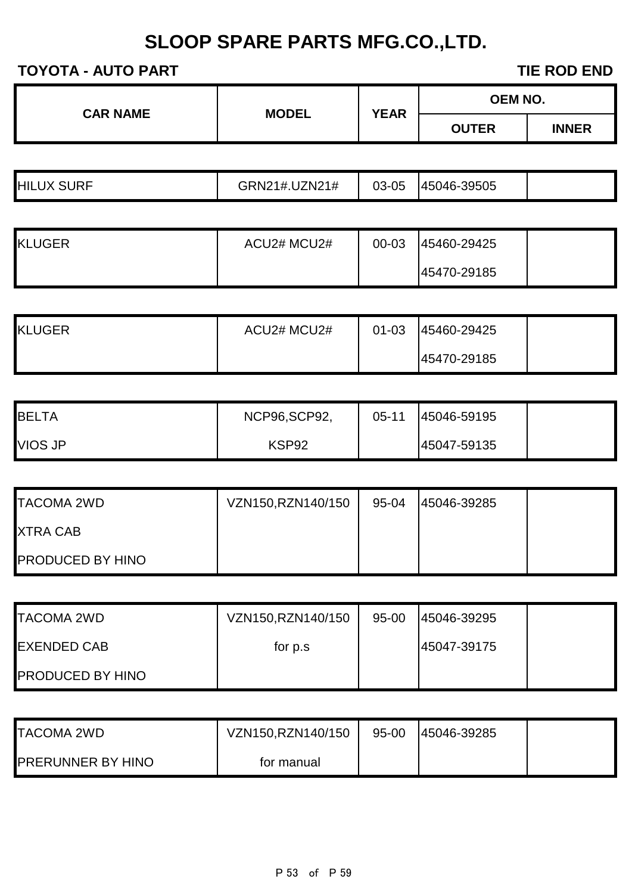| <b>CAR NAME</b> | <b>MODEL</b> | <b>YEAR</b> | <b>OEM NO.</b> |              |
|-----------------|--------------|-------------|----------------|--------------|
|                 |              |             | <b>OUTER</b>   | <b>INNER</b> |

| <b>HILUX SURF</b> | GRN21#.UZN21# | 03-05 | 45046-39505 |  |
|-------------------|---------------|-------|-------------|--|
|-------------------|---------------|-------|-------------|--|

| <b>KLUGER</b> | ACU2# MCU2# | $00 - 03$ | 45460-29425 |  |
|---------------|-------------|-----------|-------------|--|
|               |             |           | 45470-29185 |  |

| <b>KLUGER</b> | ACU2# MCU2# | 01-03 | 45460-29425 |  |
|---------------|-------------|-------|-------------|--|
|               |             |       | 45470-29185 |  |

| <b>BELTA</b>   | NCP96,SCP92, | 05-11 | 45046-59195 |  |
|----------------|--------------|-------|-------------|--|
| <b>VIOS JP</b> | KSP92        |       | 45047-59135 |  |

| <b>TACOMA 2WD</b>       | VZN150, RZN140/150 | 95-04 | 45046-39285 |  |
|-------------------------|--------------------|-------|-------------|--|
| <b>XTRA CAB</b>         |                    |       |             |  |
| <b>PRODUCED BY HINO</b> |                    |       |             |  |

| <b>TACOMA 2WD</b>       | VZN150, RZN140/150 | $95 - 00$ | 45046-39295 |  |
|-------------------------|--------------------|-----------|-------------|--|
| <b>IEXENDED CAB</b>     | for p.s.           |           | 45047-39175 |  |
| <b>PRODUCED BY HINO</b> |                    |           |             |  |

| <b>TACOMA 2WD</b>        | VZN150,RZN140/150 | $95 - 00$ | 45046-39285 |  |
|--------------------------|-------------------|-----------|-------------|--|
| <b>PRERUNNER BY HINO</b> | for manual        |           |             |  |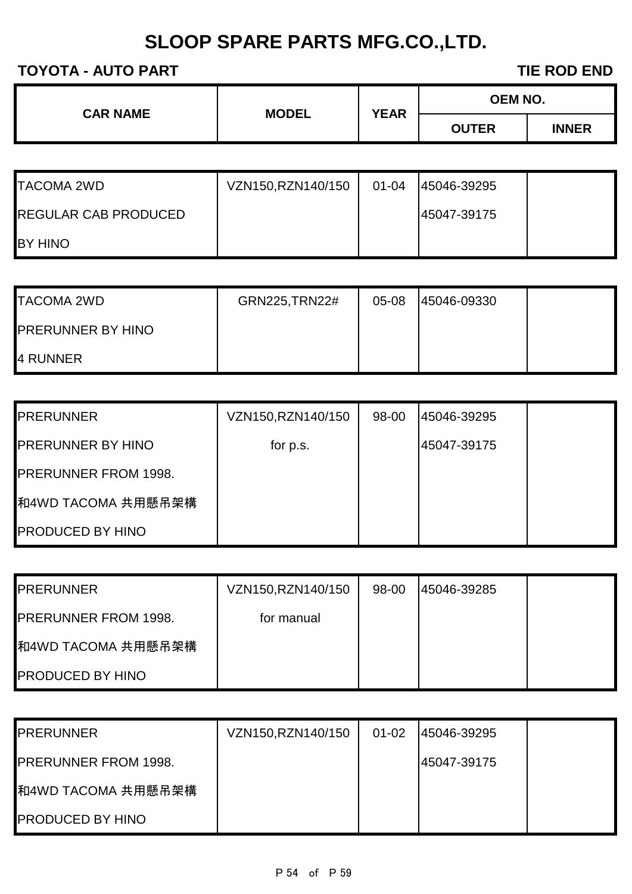| <b>CAR NAME</b> |              | <b>YEAR</b> | <b>OEM NO.</b> |              |
|-----------------|--------------|-------------|----------------|--------------|
|                 | <b>MODEL</b> |             | <b>OUTER</b>   | <b>INNER</b> |

| <b>TACOMA 2WD</b>           | VZN150, RZN140/150 | $01 - 04$ | 45046-39295 |  |
|-----------------------------|--------------------|-----------|-------------|--|
| <b>REGULAR CAB PRODUCED</b> |                    |           | 45047-39175 |  |
| <b>BY HINO</b>              |                    |           |             |  |

| <b>TACOMA 2WD</b>        | GRN225, TRN22# | 05-08 | 45046-09330 |  |
|--------------------------|----------------|-------|-------------|--|
| <b>PRERUNNER BY HINO</b> |                |       |             |  |
| 4 RUNNER                 |                |       |             |  |

| <b>PRERUNNER</b>            | VZN150, RZN140/150 | 98-00 | 45046-39295 |  |
|-----------------------------|--------------------|-------|-------------|--|
| <b>PRERUNNER BY HINO</b>    | for p.s.           |       | 45047-39175 |  |
| <b>PRERUNNER FROM 1998.</b> |                    |       |             |  |
| 和4WD TACOMA 共用懸吊架構          |                    |       |             |  |
| <b>PRODUCED BY HINO</b>     |                    |       |             |  |

| <b>PRERUNNER</b>            | VZN150, RZN140/150 | 98-00 | 45046-39285 |  |
|-----------------------------|--------------------|-------|-------------|--|
| <b>PRERUNNER FROM 1998.</b> | for manual         |       |             |  |
| 和4WD TACOMA 共用懸吊架構          |                    |       |             |  |
| <b>PRODUCED BY HINO</b>     |                    |       |             |  |

| <b>PRERUNNER</b>            | VZN150, RZN140/150 | $01 - 02$ | 45046-39295 |  |
|-----------------------------|--------------------|-----------|-------------|--|
| <b>PRERUNNER FROM 1998.</b> |                    |           | 45047-39175 |  |
| 和4WD TACOMA 共用懸吊架構          |                    |           |             |  |
| <b>PRODUCED BY HINO</b>     |                    |           |             |  |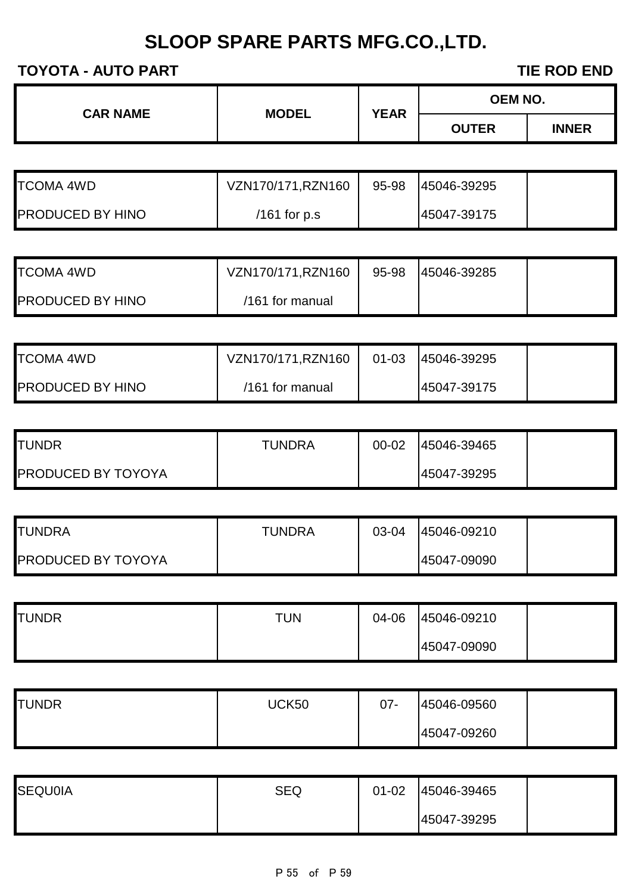| <b>CAR NAME</b> | <b>MODEL</b> | <b>YEAR</b> | <b>OEM NO.</b> |              |
|-----------------|--------------|-------------|----------------|--------------|
|                 |              |             | <b>OUTER</b>   | <b>INNER</b> |

| <b>TCOMA 4WD</b>        | VZN170/171, RZN160 | 95-98 | 45046-39295  |  |
|-------------------------|--------------------|-------|--------------|--|
| <b>PRODUCED BY HINO</b> | $/161$ for p.s     |       | 145047-39175 |  |

| <b>TCOMA 4WD</b>        | VZN170/171, RZN160 | 95-98 | 45046-39285 |  |
|-------------------------|--------------------|-------|-------------|--|
| <b>PRODUCED BY HINO</b> | /161 for manual    |       |             |  |

| <b>TCOMA 4WD</b>        | VZN170/171, RZN160 | $01 - 03$ | 45046-39295 |  |
|-------------------------|--------------------|-----------|-------------|--|
| <b>PRODUCED BY HINO</b> | /161 for manual    |           | 45047-39175 |  |

| <b>TUNDR</b>              | <b>TUNDRA</b> | 00-02 | 45046-39465 |  |
|---------------------------|---------------|-------|-------------|--|
| <b>PRODUCED BY TOYOYA</b> |               |       | 45047-39295 |  |

| <b>TUNDRA</b>             | <b>TUNDRA</b> | 03-04 | 145046-09210 |  |
|---------------------------|---------------|-------|--------------|--|
| <b>PRODUCED BY TOYOYA</b> |               |       | 145047-09090 |  |

| <b>TUNDR</b> | TUN | 04-06 | 45046-09210 |  |
|--------------|-----|-------|-------------|--|
|              |     |       | 45047-09090 |  |

| <b>TUNDR</b> | UCK50 | $07 -$ | 45046-09560 |  |
|--------------|-------|--------|-------------|--|
|              |       |        | 45047-09260 |  |

| <b>SEQU0IA</b> | <b>SEQ</b> | $01 - 02$ | 45046-39465 |  |
|----------------|------------|-----------|-------------|--|
|                |            |           | 45047-39295 |  |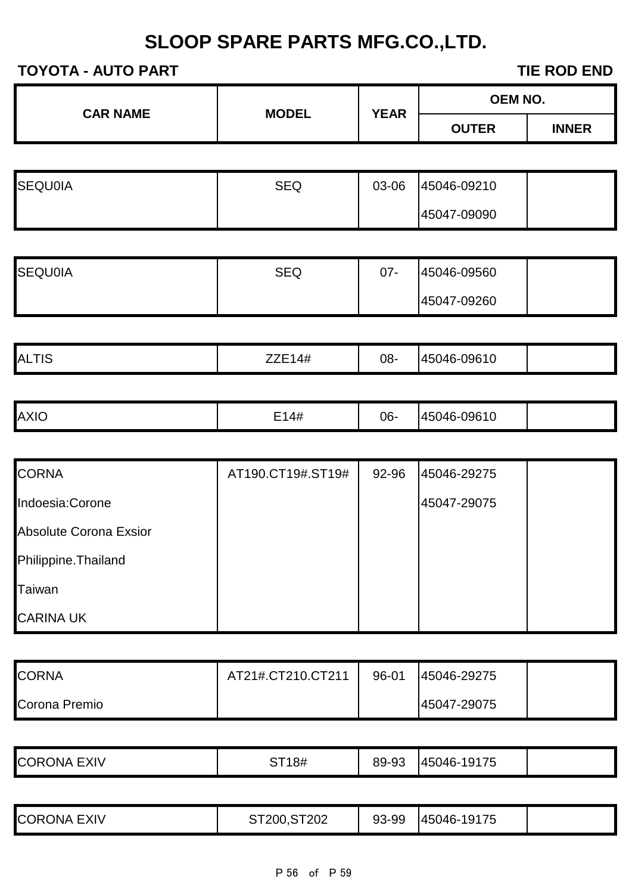| <b>CAR NAME</b> |              | <b>YEAR</b> | <b>OEM NO.</b> |              |
|-----------------|--------------|-------------|----------------|--------------|
|                 | <b>MODEL</b> |             | <b>OUTER</b>   | <b>INNER</b> |
|                 |              |             |                |              |

| <b>SEQU0IA</b> | <b>SEQ</b> | 03-06 | 45046-09210 |  |
|----------------|------------|-------|-------------|--|
|                |            |       | 45047-09090 |  |

| <b>SEQU0IA</b> | SEQ | $07 -$ | 45046-09560 |  |
|----------------|-----|--------|-------------|--|
|                |     |        | 45047-09260 |  |

| <b>ALTIS</b><br>$\sim$ $\sim$ | . .<br>T 1 1 | 08- | -<br>)96<br>⌒-∙<br>l U |  |
|-------------------------------|--------------|-----|------------------------|--|
|                               |              |     |                        |  |

|--|

| <b>CORNA</b>           | AT190.CT19#.ST19# | 92-96 | 45046-29275 |  |
|------------------------|-------------------|-------|-------------|--|
| Indoesia:Corone        |                   |       | 45047-29075 |  |
| Absolute Corona Exsior |                   |       |             |  |
| Philippine. Thailand   |                   |       |             |  |
| Taiwan                 |                   |       |             |  |
| <b>CARINA UK</b>       |                   |       |             |  |

| <b>CORNA</b>  | AT21#.CT210.CT211 | 96-01 | 45046-29275 |  |
|---------------|-------------------|-------|-------------|--|
| Corona Premio |                   |       | 45047-29075 |  |

| <b>CORONA</b><br>EXIV | ST18# | 89-93 | 45046-19175 |  |
|-----------------------|-------|-------|-------------|--|

| <b>CORONA EXIV</b> | ST200, ST202 | 93-99 | 45046-19175 |  |
|--------------------|--------------|-------|-------------|--|
|--------------------|--------------|-------|-------------|--|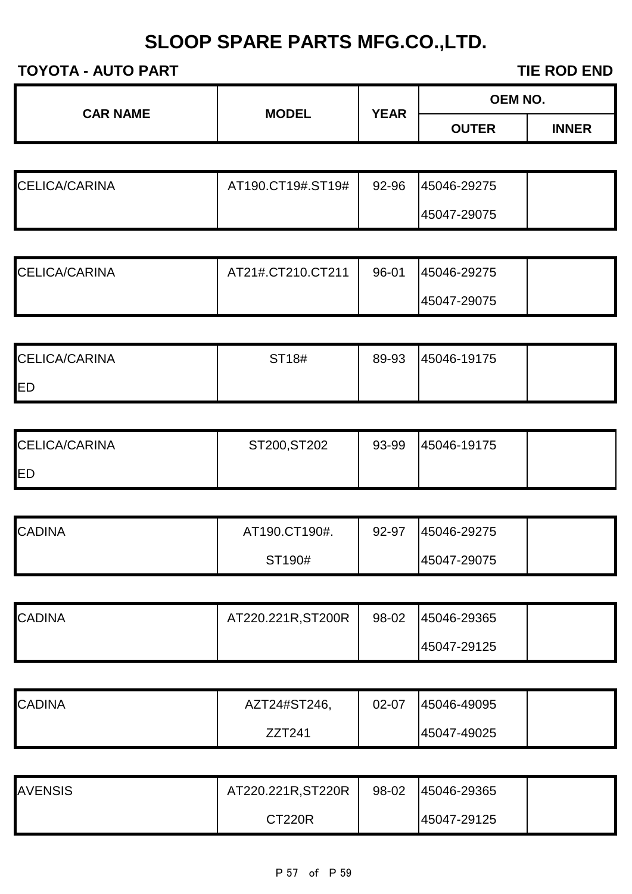| <b>CAR NAME</b> | <b>MODEL</b> | <b>YEAR</b> | <b>OEM NO.</b> |              |
|-----------------|--------------|-------------|----------------|--------------|
|                 |              |             | <b>OUTER</b>   | <b>INNER</b> |

| <b>CELICA/CARINA</b> | AT190.CT19#.ST19# | 92-96 | 45046-29275 |  |
|----------------------|-------------------|-------|-------------|--|
|                      |                   |       | 45047-29075 |  |

| CELICA/CARINA | AT21#.CT210.CT211 | 96-01 | 45046-29275 |  |
|---------------|-------------------|-------|-------------|--|
|               |                   |       | 45047-29075 |  |

| <b>CELICA/CARINA</b> | ST18# | 89-93 | 45046-19175 |  |
|----------------------|-------|-------|-------------|--|
| <b>IED</b>           |       |       |             |  |

| <b>CELICA/CARINA</b> | ST200, ST202 | 93-99 | 45046-19175 |  |
|----------------------|--------------|-------|-------------|--|
| ED                   |              |       |             |  |

| <b>CADINA</b> | AT190.CT190#. | 92-97 | 45046-29275 |  |
|---------------|---------------|-------|-------------|--|
|               | ST190#        |       | 45047-29075 |  |

| <b>CADINA</b> | AT220.221R, ST200R | 98-02 | 45046-29365 |  |
|---------------|--------------------|-------|-------------|--|
|               |                    |       | 45047-29125 |  |

| <b>CADINA</b> | AZT24#ST246, | 02-07 | 45046-49095 |  |
|---------------|--------------|-------|-------------|--|
|               | ZZT241       |       | 45047-49025 |  |

| <b>AVENSIS</b> | AT220.221R, ST220R | 98-02 | 45046-29365 |  |
|----------------|--------------------|-------|-------------|--|
|                | CT220R             |       | 45047-29125 |  |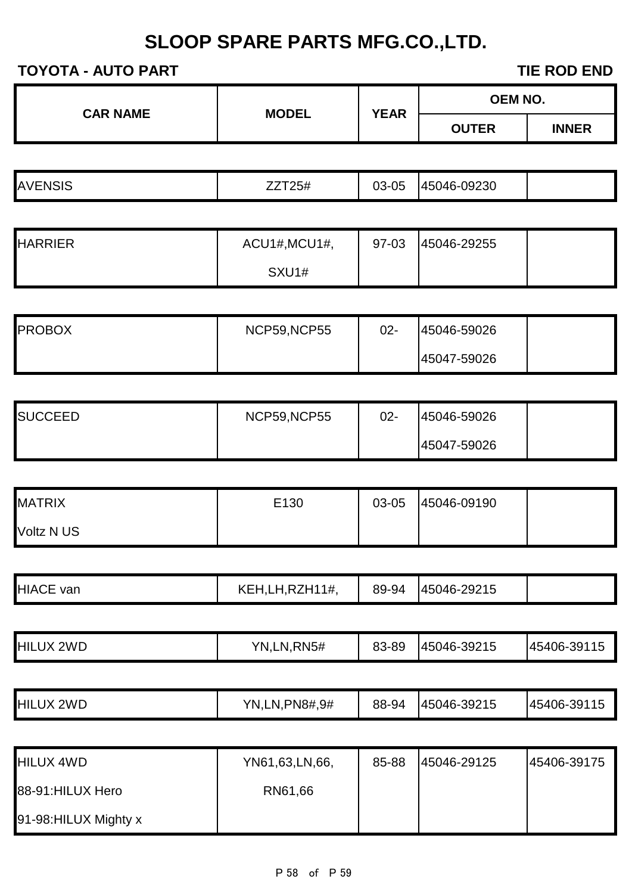| <b>CAR NAME</b> | <b>MODEL</b> | <b>YEAR</b> | <b>OEM NO.</b> |              |
|-----------------|--------------|-------------|----------------|--------------|
|                 |              |             | <b>OUTER</b>   | <b>INNER</b> |

| <b>AVENSIS</b> | <b>ZZT25#</b> | $3 - 05$<br>∩∩<br>UU | 45046-09230 |  |
|----------------|---------------|----------------------|-------------|--|
|----------------|---------------|----------------------|-------------|--|

| <b>HARRIER</b> | ACU1#, MCU1#, | 97-03 | 45046-29255 |  |
|----------------|---------------|-------|-------------|--|
|                | SXU1#         |       |             |  |

| <b>PROBOX</b> | NCP59,NCP55 | $02 -$ | 45046-59026 |  |
|---------------|-------------|--------|-------------|--|
|               |             |        | 45047-59026 |  |

| <b>SUCCEED</b> | NCP59,NCP55 | $02 -$ | 45046-59026 |  |
|----------------|-------------|--------|-------------|--|
|                |             |        | 45047-59026 |  |

| <b>MATRIX</b>     | E130 | 03-05 | 45046-09190 |  |
|-------------------|------|-------|-------------|--|
| <b>Voltz N US</b> |      |       |             |  |

|--|

| 2WD<br><b>HILUX</b> | ,RN5#<br>ΥN<br>N | 83-89 | 45046-39215 | 45406-39115 |
|---------------------|------------------|-------|-------------|-------------|
|                     |                  |       |             |             |

| <b>HILUX 4WD</b>      | YN61,63,LN,66, | 85-88 | 45046-29125 | 45406-39175 |
|-----------------------|----------------|-------|-------------|-------------|
| 88-91:HILUX Hero      | RN61,66        |       |             |             |
| 91-98: HILUX Mighty x |                |       |             |             |